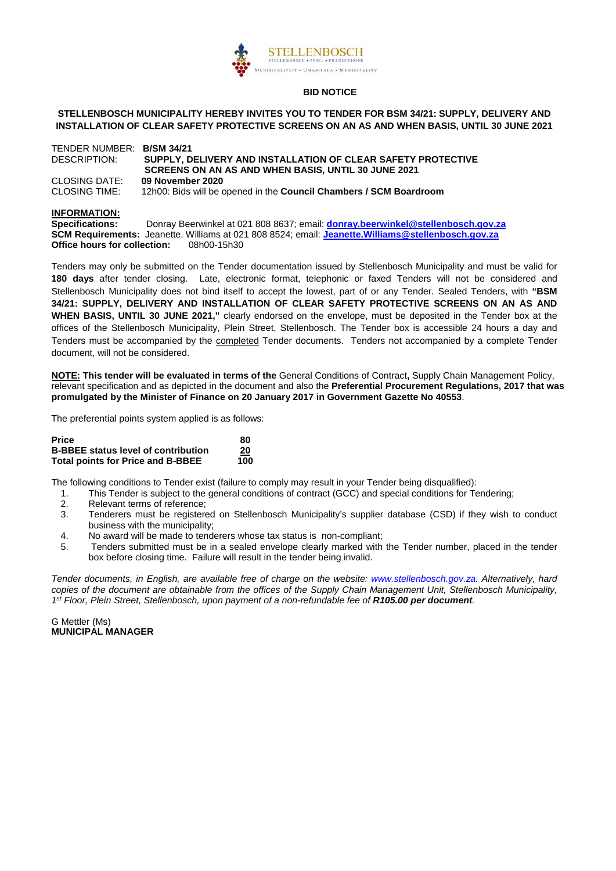

#### **STELLENBOSCH MUNICIPALITY HEREBY INVITES YOU TO TENDER FOR BSM 34/21: SUPPLY, DELIVERY AND INSTALLATION OF CLEAR SAFETY PROTECTIVE SCREENS ON AN AS AND WHEN BASIS, UNTIL 30 JUNE 2021**

#### TENDER NUMBER: **B/SM 34/21** DESCRIPTION: **SUPPLY, DELIVERY AND INSTALLATION OF CLEAR SAFETY PROTECTIVE SCREENS ON AN AS AND WHEN BASIS, UNTIL 30 JUNE 2021** CLOSING DATE: **09 November 2020** CLOSING TIME: 12h00: Bids will be opened in the **Council Chambers / SCM Boardroom**

#### **INFORMATION:**

**Specifications:** Donray Beerwinkel at 021 808 8637; email: **[donray.beerwinkel@stellenbosch.gov.za](mailto:donray.beerwinkel@stellenbosch.gov.za) SCM Requirements:** Jeanette. Williams at 021 808 8524; email: **[Jeanette.Williams@stellenbosch.gov.za](mailto:Jeanette.Williams@stellenbosch.gov.za) Office hours for collection:** 

Tenders may only be submitted on the Tender documentation issued by Stellenbosch Municipality and must be valid for **180 days** after tender closing. Late, electronic format, telephonic or faxed Tenders will not be considered and Stellenbosch Municipality does not bind itself to accept the lowest, part of or any Tender. Sealed Tenders, with **"BSM 34/21: SUPPLY, DELIVERY AND INSTALLATION OF CLEAR SAFETY PROTECTIVE SCREENS ON AN AS AND WHEN BASIS, UNTIL 30 JUNE 2021,"** clearly endorsed on the envelope, must be deposited in the Tender box at the offices of the Stellenbosch Municipality, Plein Street, Stellenbosch. The Tender box is accessible 24 hours a day and Tenders must be accompanied by the completed Tender documents. Tenders not accompanied by a complete Tender document, will not be considered.

**NOTE: This tender will be evaluated in terms of the** General Conditions of Contract**,** Supply Chain Management Policy, relevant specification and as depicted in the document and also the **Preferential Procurement Regulations, 2017 that was promulgated by the Minister of Finance on 20 January 2017 in Government Gazette No 40553**.

The preferential points system applied is as follows:

| <b>Price</b>                               | 80  |
|--------------------------------------------|-----|
| <b>B-BBEE status level of contribution</b> | 20  |
| <b>Total points for Price and B-BBEE</b>   | 100 |

The following conditions to Tender exist (failure to comply may result in your Tender being disqualified):

- 1. This Tender is subject to the general conditions of contract (GCC) and special conditions for Tendering;
- 
- 2. Relevant terms of reference;<br>3. Tenderers must be registere Tenderers must be registered on Stellenbosch Municipality's supplier database (CSD) if they wish to conduct business with the municipality;
- 4. No award will be made to tenderers whose tax status is non-compliant;
- 5. Tenders submitted must be in a sealed envelope clearly marked with the Tender number, placed in the tender box before closing time. Failure will result in the tender being invalid.

*Tender documents, in English, are available free of charge on the website: [www.stellenbosch.gov.za.](http://www.stellenbosch.gov.za/) Alternatively, hard copies of the document are obtainable from the offices of the Supply Chain Management Unit, Stellenbosch Municipality, 1st Floor, Plein Street, Stellenbosch, upon payment of a non-refundable fee of R105.00 per document.*

G Mettler (Ms) **MUNICIPAL MANAGER**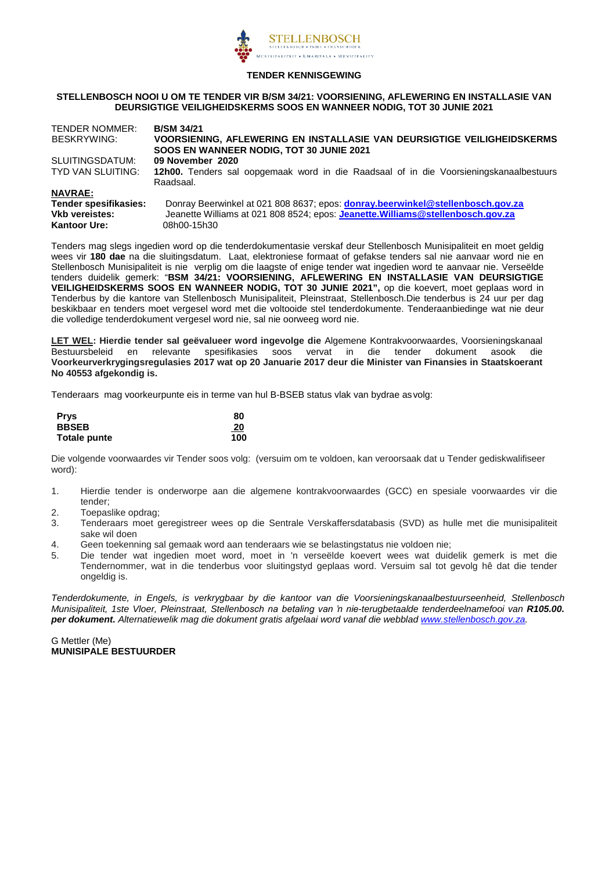

#### **TENDER KENNISGEWING**

#### **STELLENBOSCH NOOI U OM TE TENDER VIR B/SM 34/21: VOORSIENING, AFLEWERING EN INSTALLASIE VAN DEURSIGTIGE VEILIGHEIDSKERMS SOOS EN WANNEER NODIG, TOT 30 JUNIE 2021**

| <b>TENDER NOMMER:</b> | <b>B/SM 34/21</b>                                                                      |
|-----------------------|----------------------------------------------------------------------------------------|
| BESKRYWING:           | VOORSIENING, AFLEWERING EN INSTALLASIE VAN DEURSIGTIGE VEILIGHEIDSKERMS                |
|                       | SOOS EN WANNEER NODIG, TOT 30 JUNIE 2021                                               |
| SLUITINGSDATUM:       | 09 November 2020                                                                       |
| TYD VAN SLUITING:     | 12h00. Tenders sal oopgemaak word in die Raadsaal of in die Voorsieningskanaalbestuurs |
|                       | Raadsaal.                                                                              |
| <b>NAVRAE:</b>        |                                                                                        |
| Tender spesifikasies: | Donray Beerwinkel at 021 808 8637; epos: donray.beerwinkel@stellenbosch.gov.za         |
| <b>Vkb vereistes:</b> | Jeanette Williams at 021 808 8524; epos: Jeanette. Williams@stellenbosch.gov.za        |
| <b>Kantoor Ure:</b>   | 08h00-15h30                                                                            |

Tenders mag slegs ingedien word op die tenderdokumentasie verskaf deur Stellenbosch Munisipaliteit en moet geldig wees vir **180 dae** na die sluitingsdatum. Laat, elektroniese formaat of gefakse tenders sal nie aanvaar word nie en Stellenbosch Munisipaliteit is nie verplig om die laagste of enige tender wat ingedien word te aanvaar nie. Verseëlde tenders duidelik gemerk: "**BSM 34/21: VOORSIENING, AFLEWERING EN INSTALLASIE VAN DEURSIGTIGE VEILIGHEIDSKERMS SOOS EN WANNEER NODIG, TOT 30 JUNIE 2021",** op die koevert, moet geplaas word in Tenderbus by die kantore van Stellenbosch Munisipaliteit, Pleinstraat, Stellenbosch.Die tenderbus is 24 uur per dag beskikbaar en tenders moet vergesel word met die voltooide stel tenderdokumente. Tenderaanbiedinge wat nie deur die volledige tenderdokument vergesel word nie, sal nie oorweeg word nie.

**LET WEL: Hierdie tender sal geëvalueer word ingevolge die** Algemene Kontrakvoorwaardes, Voorsieningskanaal en relevante spesifikasies soos vervat in die tender dokument asook die **Voorkeurverkrygingsregulasies 2017 wat op 20 Januarie 2017 deur die Minister van Finansies in Staatskoerant No 40553 afgekondig is.** 

Tenderaars mag voorkeurpunte eis in terme van hul B-BSEB status vlak van bydrae asvolg:

| <b>Prys</b>  | 80        |
|--------------|-----------|
| <b>BBSEB</b> | <u>20</u> |
| Totale punte | 100       |

Die volgende voorwaardes vir Tender soos volg: (versuim om te voldoen, kan veroorsaak dat u Tender gediskwalifiseer word):

- 1. Hierdie tender is onderworpe aan die algemene kontrakvoorwaardes (GCC) en spesiale voorwaardes vir die tender;
- 2. Toepaslike opdrag;
- 3. Tenderaars moet geregistreer wees op die Sentrale Verskaffersdatabasis (SVD) as hulle met die munisipaliteit sake wil doen
- 4. Geen toekenning sal gemaak word aan tenderaars wie se belastingstatus nie voldoen nie;
- 5. Die tender wat ingedien moet word, moet in 'n verseëlde koevert wees wat duidelik gemerk is met die Tendernommer, wat in die tenderbus voor sluitingstyd geplaas word. Versuim sal tot gevolg hê dat die tender ongeldig is.

*Tenderdokumente, in Engels, is verkrygbaar by die kantoor van die Voorsieningskanaalbestuurseenheid, Stellenbosch Munisipaliteit, 1ste Vloer, Pleinstraat, Stellenbosch na betaling van 'n nie-terugbetaalde tenderdeelnamefooi van R105.00. per dokument. Alternatiewelik mag die dokument gratis afgelaai word vanaf die webblad [www.stellenbosch.gov.za.](http://www.stellenbosch.gov.za/)* 

G Mettler (Me) **MUNISIPALE BESTUURDER**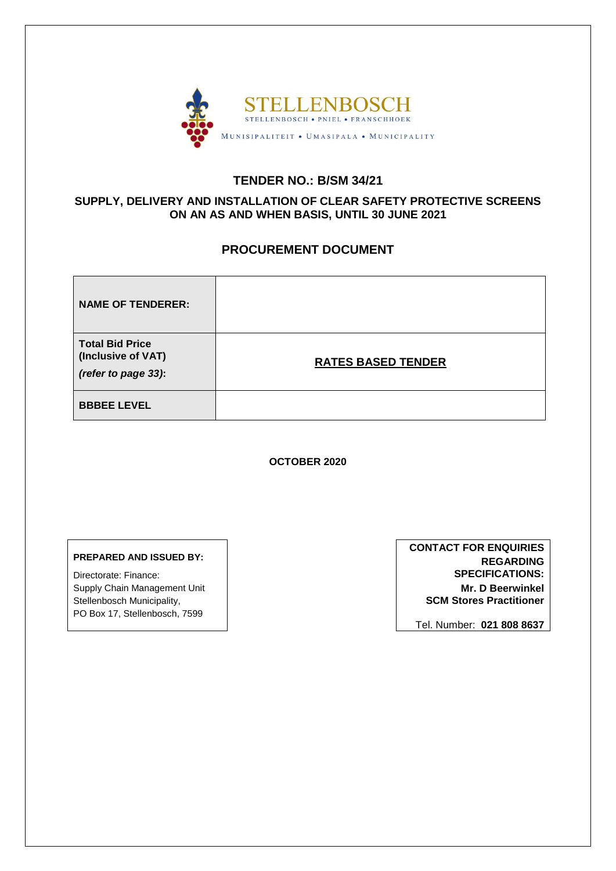

# **TENDER NO.: B/SM 34/21**

# **SUPPLY, DELIVERY AND INSTALLATION OF CLEAR SAFETY PROTECTIVE SCREENS ON AN AS AND WHEN BASIS, UNTIL 30 JUNE 2021**

# **PROCUREMENT DOCUMENT**

| <b>NAME OF TENDERER:</b>                                            |                           |
|---------------------------------------------------------------------|---------------------------|
| <b>Total Bid Price</b><br>(Inclusive of VAT)<br>(refer to page 33): | <b>RATES BASED TENDER</b> |
| <b>BBBEE LEVEL</b>                                                  |                           |

**OCTOBER 2020**

# **PREPARED AND ISSUED BY:**

Directorate: Finance: Supply Chain Management Unit Stellenbosch Municipality, PO Box 17, Stellenbosch, 7599

**CONTACT FOR ENQUIRIES REGARDING SPECIFICATIONS: Mr. D Beerwinkel SCM Stores Practitioner**

Tel. Number: **021 808 8637**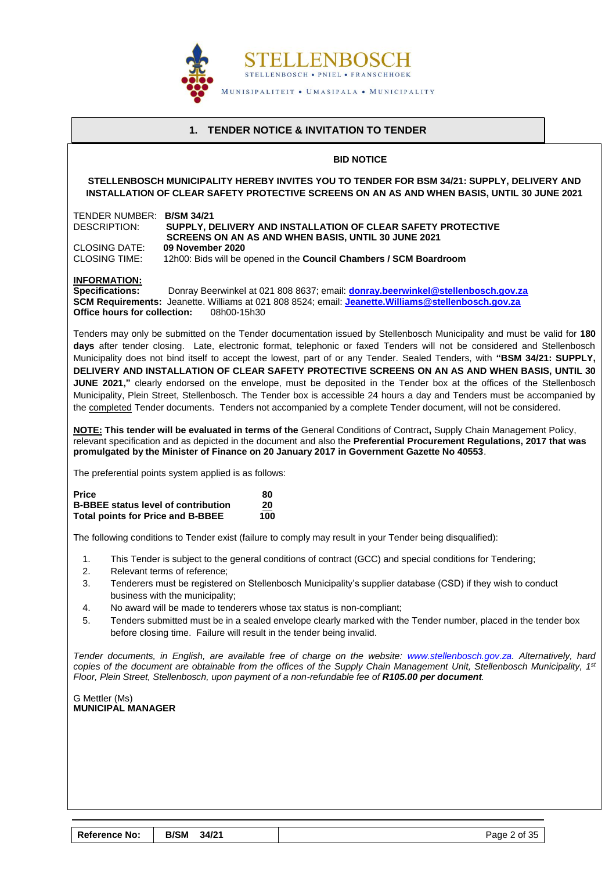

# **1. TENDER NOTICE & INVITATION TO TENDER**

#### **BID NOTICE**

<span id="page-3-0"></span>**STELLENBOSCH MUNICIPALITY HEREBY INVITES YOU TO TENDER FOR BSM 34/21: SUPPLY, DELIVERY AND INSTALLATION OF CLEAR SAFETY PROTECTIVE SCREENS ON AN AS AND WHEN BASIS, UNTIL 30 JUNE 2021**

| TENDER NUMBER: B/SM 34/21<br><b>DESCRIPTION:</b>                                                       | SUPPLY, DELIVERY AND INSTALLATION OF CLEAR SAFETY PROTECTIVE<br>SCREENS ON AN AS AND WHEN BASIS, UNTIL 30 JUNE 2021                                                                                                                                                                                                                                                                                                                                                                                                                                                                                                                                                                                                                                                                                                                                           |
|--------------------------------------------------------------------------------------------------------|---------------------------------------------------------------------------------------------------------------------------------------------------------------------------------------------------------------------------------------------------------------------------------------------------------------------------------------------------------------------------------------------------------------------------------------------------------------------------------------------------------------------------------------------------------------------------------------------------------------------------------------------------------------------------------------------------------------------------------------------------------------------------------------------------------------------------------------------------------------|
| <b>CLOSING DATE:</b><br><b>CLOSING TIME:</b>                                                           | 09 November 2020<br>12h00: Bids will be opened in the Council Chambers / SCM Boardroom                                                                                                                                                                                                                                                                                                                                                                                                                                                                                                                                                                                                                                                                                                                                                                        |
| <b>INFORMATION:</b><br><b>Specifications:</b><br><b>Office hours for collection:</b>                   | Donray Beerwinkel at 021 808 8637; email: donray.beerwinkel@stellenbosch.gov.za<br>SCM Requirements: Jeanette. Williams at 021 808 8524; email: Jeanette. Williams@stellenbosch.gov.za<br>08h00-15h30                                                                                                                                                                                                                                                                                                                                                                                                                                                                                                                                                                                                                                                         |
|                                                                                                        | Tenders may only be submitted on the Tender documentation issued by Stellenbosch Municipality and must be valid for 180<br>days after tender closing. Late, electronic format, telephonic or faxed Tenders will not be considered and Stellenbosch<br>Municipality does not bind itself to accept the lowest, part of or any Tender. Sealed Tenders, with "BSM 34/21: SUPPLY,<br>DELIVERY AND INSTALLATION OF CLEAR SAFETY PROTECTIVE SCREENS ON AN AS AND WHEN BASIS, UNTIL 30<br><b>JUNE 2021,</b> " clearly endorsed on the envelope, must be deposited in the Tender box at the offices of the Stellenbosch<br>Municipality, Plein Street, Stellenbosch. The Tender box is accessible 24 hours a day and Tenders must be accompanied by<br>the completed Tender documents. Tenders not accompanied by a complete Tender document, will not be considered. |
|                                                                                                        | <b>NOTE: This tender will be evaluated in terms of the</b> General Conditions of Contract, Supply Chain Management Policy,<br>relevant specification and as depicted in the document and also the Preferential Procurement Regulations, 2017 that was<br>promulgated by the Minister of Finance on 20 January 2017 in Government Gazette No 40553.                                                                                                                                                                                                                                                                                                                                                                                                                                                                                                            |
|                                                                                                        | The preferential points system applied is as follows:                                                                                                                                                                                                                                                                                                                                                                                                                                                                                                                                                                                                                                                                                                                                                                                                         |
| <b>Price</b><br><b>B-BBEE status level of contribution</b><br><b>Total points for Price and B-BBEE</b> | 80<br>20<br>100                                                                                                                                                                                                                                                                                                                                                                                                                                                                                                                                                                                                                                                                                                                                                                                                                                               |
|                                                                                                        | The following conditions to Tender exist (failure to comply may result in your Tender being disqualified):                                                                                                                                                                                                                                                                                                                                                                                                                                                                                                                                                                                                                                                                                                                                                    |
| 1.<br>2.<br>3.<br>4.<br>5.                                                                             | This Tender is subject to the general conditions of contract (GCC) and special conditions for Tendering;<br>Relevant terms of reference:<br>Tenderers must be registered on Stellenbosch Municipality's supplier database (CSD) if they wish to conduct<br>business with the municipality;<br>No award will be made to tenderers whose tax status is non-compliant;<br>Tenders submitted must be in a sealed envelope clearly marked with the Tender number, placed in the tender box<br>before closing time. Failure will result in the tender being invalid.                                                                                                                                                                                                                                                                                                |
|                                                                                                        | Tender documents, in English, are available free of charge on the website: www.stellenbosch.gov.za. Alternatively, hard<br>copies of the document are obtainable from the offices of the Supply Chain Management Unit, Stellenbosch Municipality, 1st<br>Floor, Plein Street, Stellenbosch, upon payment of a non-refundable fee of R105.00 per document.                                                                                                                                                                                                                                                                                                                                                                                                                                                                                                     |
| G Mettler (Ms)<br><b>MUNICIPAL MANAGER</b>                                                             |                                                                                                                                                                                                                                                                                                                                                                                                                                                                                                                                                                                                                                                                                                                                                                                                                                                               |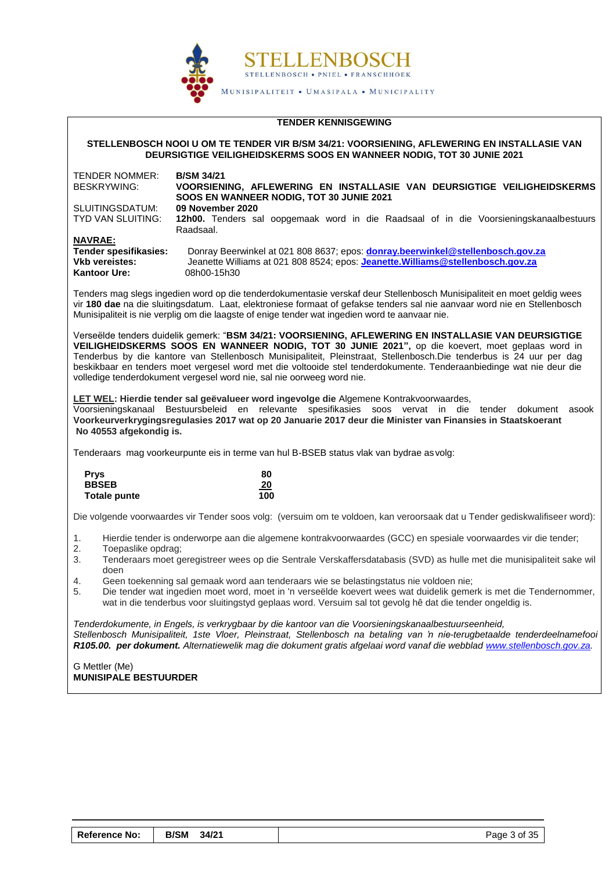

#### **TENDER KENNISGEWING**

**STELLENBOSCH NOOI U OM TE TENDER VIR B/SM 34/21: VOORSIENING, AFLEWERING EN INSTALLASIE VAN DEURSIGTIGE VEILIGHEIDSKERMS SOOS EN WANNEER NODIG, TOT 30 JUNIE 2021**

| TENDER NOMMER:<br>BESKRYWING: | <b>B/SM 34/21</b><br>VOORSIENING, AFLEWERING EN INSTALLASIE VAN DEURSIGTIGE VEILIGHEIDSKERMS<br>SOOS EN WANNEER NODIG, TOT 30 JUNIE 2021 |
|-------------------------------|------------------------------------------------------------------------------------------------------------------------------------------|
| SLUITINGSDATUM:               | 09 November 2020                                                                                                                         |
| TYD VAN SLUITING:             | 12h00. Tenders sal oopgemaak word in die Raadsaal of in die Voorsieningskanaalbestuurs                                                   |
|                               | Raadsaal.                                                                                                                                |
| <b>NAVRAE:</b>                |                                                                                                                                          |
| Tender spesifikasies:         | Donray Beerwinkel at 021 808 8637; epos: donray.beerwinkel@stellenbosch.gov.za                                                           |
| <b>Vkb vereistes:</b>         | Jeanette Williams at 021 808 8524; epos: Jeanette. Williams@stellenbosch.gov.za                                                          |
| <b>Kantoor Ure:</b>           | 08h00-15h30                                                                                                                              |

Tenders mag slegs ingedien word op die tenderdokumentasie verskaf deur Stellenbosch Munisipaliteit en moet geldig wees vir **180 dae** na die sluitingsdatum. Laat, elektroniese formaat of gefakse tenders sal nie aanvaar word nie en Stellenbosch Munisipaliteit is nie verplig om die laagste of enige tender wat ingedien word te aanvaar nie.

Verseëlde tenders duidelik gemerk: "**BSM 34/21: VOORSIENING, AFLEWERING EN INSTALLASIE VAN DEURSIGTIGE**  VEILIGHEIDSKERMS SOOS EN WANNEER NODIG, TOT 30 JUNIE 2021", op die koevert, moet geplaas word in Tenderbus by die kantore van Stellenbosch Munisipaliteit, Pleinstraat, Stellenbosch.Die tenderbus is 24 uur per dag beskikbaar en tenders moet vergesel word met die voltooide stel tenderdokumente. Tenderaanbiedinge wat nie deur die volledige tenderdokument vergesel word nie, sal nie oorweeg word nie.

**LET WEL: Hierdie tender sal geëvalueer word ingevolge die** Algemene Kontrakvoorwaardes,

Voorsieningskanaal Bestuursbeleid en relevante spesifikasies soos vervat in die tender dokument asook die **Voorkeurverkrygingsregulasies 2017 wat op 20 Januarie 2017 deur die Minister van Finansies in Staatskoerant No 40553 afgekondig is.** 

Tenderaars mag voorkeurpunte eis in terme van hul B-BSEB status vlak van bydrae as volg:

| <b>Prys</b>  | 80  |
|--------------|-----|
| <b>BBSEB</b> | 20  |
| Totale punte | 100 |

Die volgende voorwaardes vir Tender soos volg: (versuim om te voldoen, kan veroorsaak dat u Tender gediskwalifiseer word):

- 1. Hierdie tender is onderworpe aan die algemene kontrakvoorwaardes (GCC) en spesiale voorwaardes vir die tender;
- 2. Toepaslike opdrag;
- 3. Tenderaars moet geregistreer wees op die Sentrale Verskaffersdatabasis (SVD) as hulle met die munisipaliteit sake wil doen
- 4. Geen toekenning sal gemaak word aan tenderaars wie se belastingstatus nie voldoen nie;
- 5. Die tender wat ingedien moet word, moet in 'n verseëlde koevert wees wat duidelik gemerk is met die Tendernommer, wat in die tenderbus voor sluitingstyd geplaas word. Versuim sal tot gevolg hê dat die tender ongeldig is.

*Tenderdokumente, in Engels, is verkrygbaar by die kantoor van die Voorsieningskanaalbestuurseenheid, Stellenbosch Munisipaliteit, 1ste Vloer, Pleinstraat, Stellenbosch na betaling van 'n nie-terugbetaalde tenderdeelnamefooi van R105.00. per dokument. Alternatiewelik mag die dokument gratis afgelaai word vanaf die webbla[d www.stellenbosch.gov.za.](http://www.stellenbosch.gov.za/)* 

G Mettler (Me) **MUNISIPALE BESTUURDER**

| <b>Reference No:</b> | B/SM 34/21 |  | Page 3 of 35 |
|----------------------|------------|--|--------------|
|----------------------|------------|--|--------------|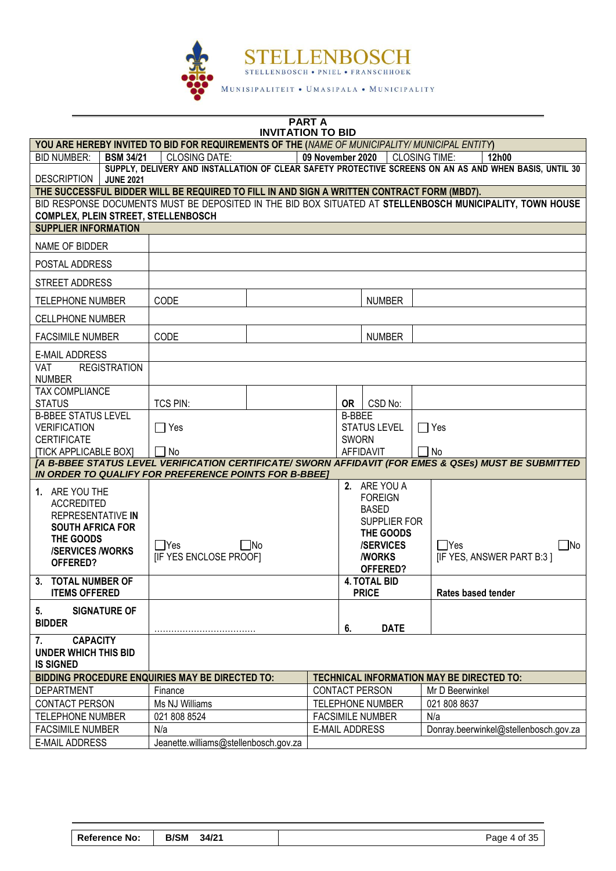

**PART A**

#### **INVITATION TO BID YOU ARE HEREBY INVITED TO BID FOR REQUIREMENTS OF THE (***NAME OF MUNICIPALITY/ MUNICIPAL ENTITY***)** BID NUMBER: **BSM 34/21** CLOSING DATE: **09 November 2020** CLOSING TIME: **12h00 DESCRIPTION SUPPLY, DELIVERY AND INSTALLATION OF CLEAR SAFETY PROTECTIVE SCREENS ON AN AS AND WHEN BASIS, UNTIL 30 JUNE 2021 THE SUCCESSFUL BIDDER WILL BE REQUIRED TO FILL IN AND SIGN A WRITTEN CONTRACT FORM (MBD7).** BID RESPONSE DOCUMENTS MUST BE DEPOSITED IN THE BID BOX SITUATED AT **STELLENBOSCH MUNICIPALITY, TOWN HOUSE COMPLEX, PLEIN STREET, STELLENBOSCH SUPPLIER INFORMATION** NAME OF BIDDER POSTAL ADDRESS STREET ADDRESS TELEPHONE NUMBER (CODE ) NUMBER CELLPHONE NUMBER FACSIMILE NUMBER (CODE ) NUMBER E-MAIL ADDRESS VAT REGISTRATION NUMBER TAX COMPLIANCE STATUS TCS PIN: **OR** CSD No: B-BBEE STATUS LEVEL VERIFICATION **CERTIFICATE** [TICK APPLICABLE BOX]  $\Box$  Yes  $\Box$  No B-BBEE STATUS LEVEL SWORN AFFIDAVIT  $\Box$  Yes  $\Box$  No *[A B-BBEE STATUS LEVEL VERIFICATION CERTIFICATE/ SWORN AFFIDAVIT (FOR EMES & QSEs) MUST BE SUBMITTED IN ORDER TO QUALIFY FOR PREFERENCE POINTS FOR B-BBEE]* **1.** ARE YOU THE ACCREDITED REPRESENTATIVE **IN SOUTH AFRICA FOR THE GOODS /SERVICES /WORKS OFFERED?**  $\Box$ Yes  $\Box$ No [IF YES ENCLOSE PROOF] **2.** ARE YOU A FOREIGN BASED SUPPLIER FOR **THE GOODS /SERVICES /WORKS OFFERED?**  $\Box$ Yes  $\Box$ No [IF YES, ANSWER PART B:3 ] **3. TOTAL NUMBER OF ITEMS OFFERED 4. TOTAL BID Rates based tender 5. SIGNATURE OF BIDDER** ……………………………… **6. DATE 7. CAPACITY UNDER WHICH THIS BID IS SIGNED BIDDING PROCEDURE ENQUIRIES MAY BE DIRECTED TO: TECHNICAL INFORMATION MAY BE DIRECTED TO:** DEPARTMENT Finance Figure Finance Figure 2011 | Mr D Beerwinkel CONTACT PERSON Ms NJ Williams TELEPHONE NUMBER 021 808 8637 TELEPHONE NUMBER  $\begin{bmatrix} 0.21 & 808 & 8524 \end{bmatrix}$  FACSIMILE NUMBER Na FACSIMILE NUMBER NIA N/a Nia Nia E-MAIL ADDRESS Donray.beerwinkel@stellenbosch.gov.za E-MAIL ADDRESS | Jeanette.williams@stellenbosch.gov.za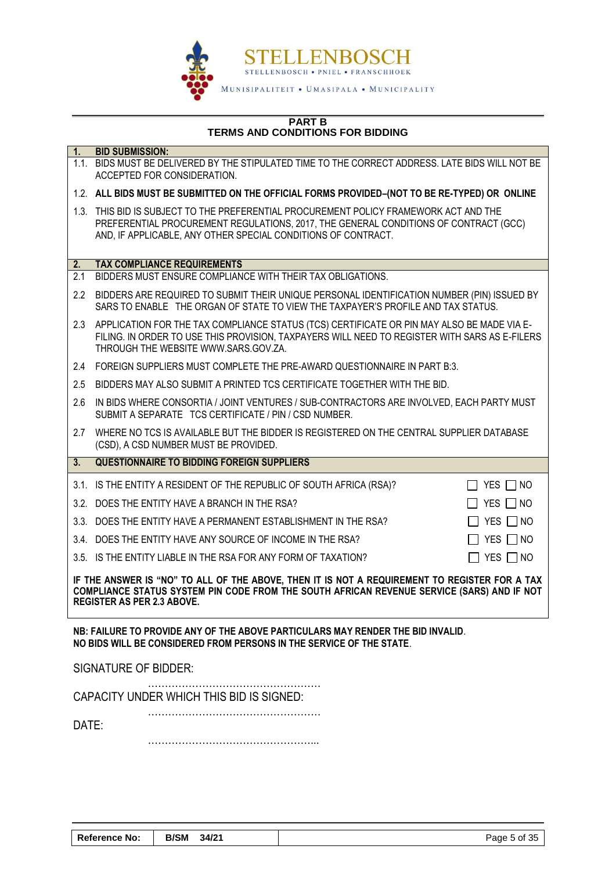

#### **PART B TERMS AND CONDITIONS FOR BIDDING**

| $\overline{1}$ .                                                                                                                                                                                                                 | <b>BID SUBMISSION:</b>                                                                                                                                                                                                                         |  |  |  |
|----------------------------------------------------------------------------------------------------------------------------------------------------------------------------------------------------------------------------------|------------------------------------------------------------------------------------------------------------------------------------------------------------------------------------------------------------------------------------------------|--|--|--|
|                                                                                                                                                                                                                                  | 1.1. BIDS MUST BE DELIVERED BY THE STIPULATED TIME TO THE CORRECT ADDRESS. LATE BIDS WILL NOT BE<br>ACCEPTED FOR CONSIDERATION.                                                                                                                |  |  |  |
|                                                                                                                                                                                                                                  | 1.2. ALL BIDS MUST BE SUBMITTED ON THE OFFICIAL FORMS PROVIDED-(NOT TO BE RE-TYPED) OR ONLINE                                                                                                                                                  |  |  |  |
|                                                                                                                                                                                                                                  | 1.3. THIS BID IS SUBJECT TO THE PREFERENTIAL PROCUREMENT POLICY FRAMEWORK ACT AND THE<br>PREFERENTIAL PROCUREMENT REGULATIONS, 2017, THE GENERAL CONDITIONS OF CONTRACT (GCC)<br>AND, IF APPLICABLE, ANY OTHER SPECIAL CONDITIONS OF CONTRACT. |  |  |  |
| 2.                                                                                                                                                                                                                               | <b>TAX COMPLIANCE REQUIREMENTS</b>                                                                                                                                                                                                             |  |  |  |
| 2.1                                                                                                                                                                                                                              | BIDDERS MUST ENSURE COMPLIANCE WITH THEIR TAX OBLIGATIONS.                                                                                                                                                                                     |  |  |  |
| 2.2                                                                                                                                                                                                                              | BIDDERS ARE REQUIRED TO SUBMIT THEIR UNIQUE PERSONAL IDENTIFICATION NUMBER (PIN) ISSUED BY<br>SARS TO ENABLE THE ORGAN OF STATE TO VIEW THE TAXPAYER'S PROFILE AND TAX STATUS.                                                                 |  |  |  |
| 2.3                                                                                                                                                                                                                              | APPLICATION FOR THE TAX COMPLIANCE STATUS (TCS) CERTIFICATE OR PIN MAY ALSO BE MADE VIA E-<br>FILING. IN ORDER TO USE THIS PROVISION, TAXPAYERS WILL NEED TO REGISTER WITH SARS AS E-FILERS<br>THROUGH THE WEBSITE WWW.SARS.GOV.ZA.            |  |  |  |
| 2.4                                                                                                                                                                                                                              | FOREIGN SUPPLIERS MUST COMPLETE THE PRE-AWARD QUESTIONNAIRE IN PART B:3.                                                                                                                                                                       |  |  |  |
| 2.5                                                                                                                                                                                                                              | BIDDERS MAY ALSO SUBMIT A PRINTED TCS CERTIFICATE TOGETHER WITH THE BID.                                                                                                                                                                       |  |  |  |
| 2.6                                                                                                                                                                                                                              | IN BIDS WHERE CONSORTIA / JOINT VENTURES / SUB-CONTRACTORS ARE INVOLVED, EACH PARTY MUST<br>SUBMIT A SEPARATE TCS CERTIFICATE / PIN / CSD NUMBER.                                                                                              |  |  |  |
| 2.7                                                                                                                                                                                                                              | WHERE NO TCS IS AVAILABLE BUT THE BIDDER IS REGISTERED ON THE CENTRAL SUPPLIER DATABASE<br>(CSD), A CSD NUMBER MUST BE PROVIDED.                                                                                                               |  |  |  |
| 3.                                                                                                                                                                                                                               | <b>QUESTIONNAIRE TO BIDDING FOREIGN SUPPLIERS</b>                                                                                                                                                                                              |  |  |  |
|                                                                                                                                                                                                                                  | 3.1. IS THE ENTITY A RESIDENT OF THE REPUBLIC OF SOUTH AFRICA (RSA)?<br>$\Box$ yes $\Box$ no                                                                                                                                                   |  |  |  |
|                                                                                                                                                                                                                                  | 3.2. DOES THE ENTITY HAVE A BRANCH IN THE RSA?<br>YES $\Box$ No<br>$\mathsf{L}$                                                                                                                                                                |  |  |  |
|                                                                                                                                                                                                                                  | YES $\neg$ NO<br>3.3. DOES THE ENTITY HAVE A PERMANENT ESTABLISHMENT IN THE RSA?                                                                                                                                                               |  |  |  |
|                                                                                                                                                                                                                                  | 3.4. DOES THE ENTITY HAVE ANY SOURCE OF INCOME IN THE RSA?<br>YES $\neg$ NO                                                                                                                                                                    |  |  |  |
|                                                                                                                                                                                                                                  | 3.5. IS THE ENTITY LIABLE IN THE RSA FOR ANY FORM OF TAXATION?<br>YES $\Box$ NO                                                                                                                                                                |  |  |  |
| IF THE ANSWER IS "NO" TO ALL OF THE ABOVE, THEN IT IS NOT A REQUIREMENT TO REGISTER FOR A TAX<br>COMPLIANCE STATUS SYSTEM PIN CODE FROM THE SOUTH AFRICAN REVENUE SERVICE (SARS) AND IF NOT<br><b>REGISTER AS PER 2.3 ABOVE.</b> |                                                                                                                                                                                                                                                |  |  |  |
| NB: FAILURE TO PROVIDE ANY OF THE ABOVE PARTICULARS MAY RENDER THE BID INVALID.<br>NO BIDS WILL BE CONSIDERED FROM PERSONS IN THE SERVICE OF THE STATE.                                                                          |                                                                                                                                                                                                                                                |  |  |  |
| <b>SIGNATURE OF BIDDER:</b>                                                                                                                                                                                                      |                                                                                                                                                                                                                                                |  |  |  |
|                                                                                                                                                                                                                                  | CAPACITY UNDER WHICH THIS BID IS SIGNED:                                                                                                                                                                                                       |  |  |  |
| DATE:                                                                                                                                                                                                                            |                                                                                                                                                                                                                                                |  |  |  |

…………………………………………...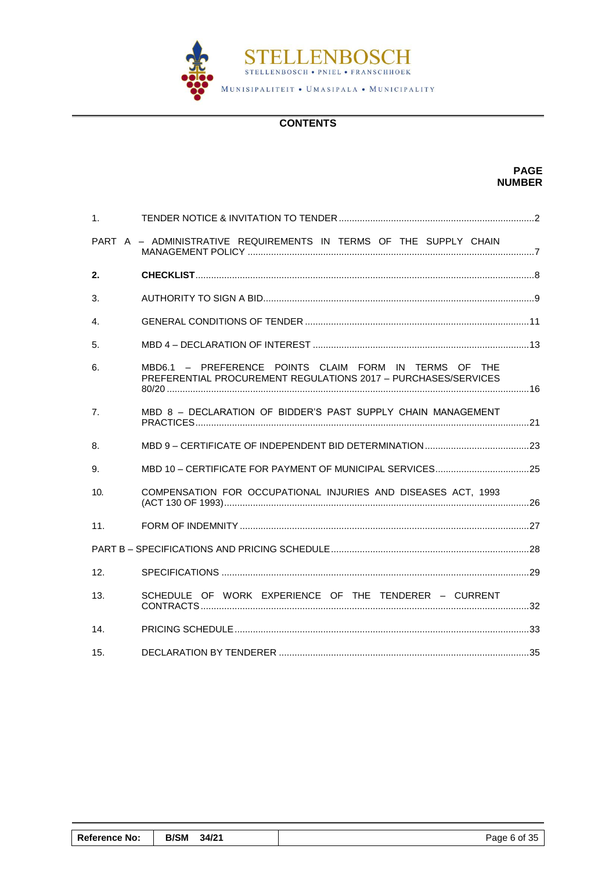

# **CONTENTS**

**PAGE NUMBER**

| 1 <sub>1</sub>  |                                                                                                                         |  |
|-----------------|-------------------------------------------------------------------------------------------------------------------------|--|
|                 | PART A - ADMINISTRATIVE REQUIREMENTS IN TERMS OF THE SUPPLY CHAIN                                                       |  |
| 2.              |                                                                                                                         |  |
| 3.              |                                                                                                                         |  |
| $\mathbf{4}$    |                                                                                                                         |  |
| 5.              |                                                                                                                         |  |
| 6.              | MBD6.1 - PREFERENCE POINTS CLAIM FORM IN TERMS OF THE<br>PREFERENTIAL PROCUREMENT REGULATIONS 2017 - PURCHASES/SERVICES |  |
| 7.              | MBD 8 - DECLARATION OF BIDDER'S PAST SUPPLY CHAIN MANAGEMENT                                                            |  |
| 8.              |                                                                                                                         |  |
| 9.              | MBD 10 - CERTIFICATE FOR PAYMENT OF MUNICIPAL SERVICES25                                                                |  |
| 10.             | COMPENSATION FOR OCCUPATIONAL INJURIES AND DISEASES ACT, 1993                                                           |  |
| 11.             |                                                                                                                         |  |
|                 |                                                                                                                         |  |
| 12 <sub>1</sub> |                                                                                                                         |  |
| 13.             | SCHEDULE OF WORK EXPERIENCE OF THE TENDERER - CURRENT                                                                   |  |
| 14.             |                                                                                                                         |  |
| 15.             |                                                                                                                         |  |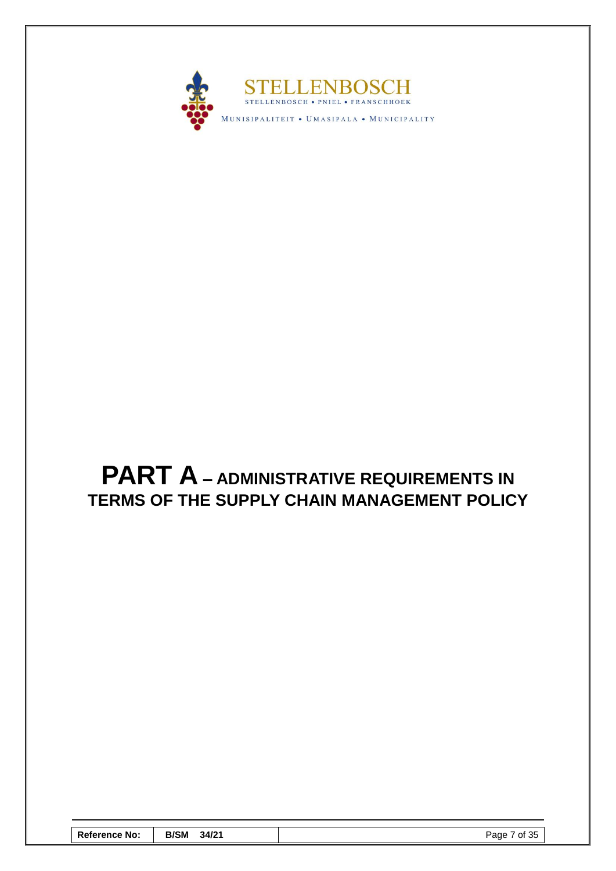

# <span id="page-8-0"></span>**PART A – ADMINISTRATIVE REQUIREMENTS IN TERMS OF THE SUPPLY CHAIN MANAGEMENT POLICY**

| <b>Reference No:</b> | <b>B/SM</b><br>34/21 | Page 7 of 35 |
|----------------------|----------------------|--------------|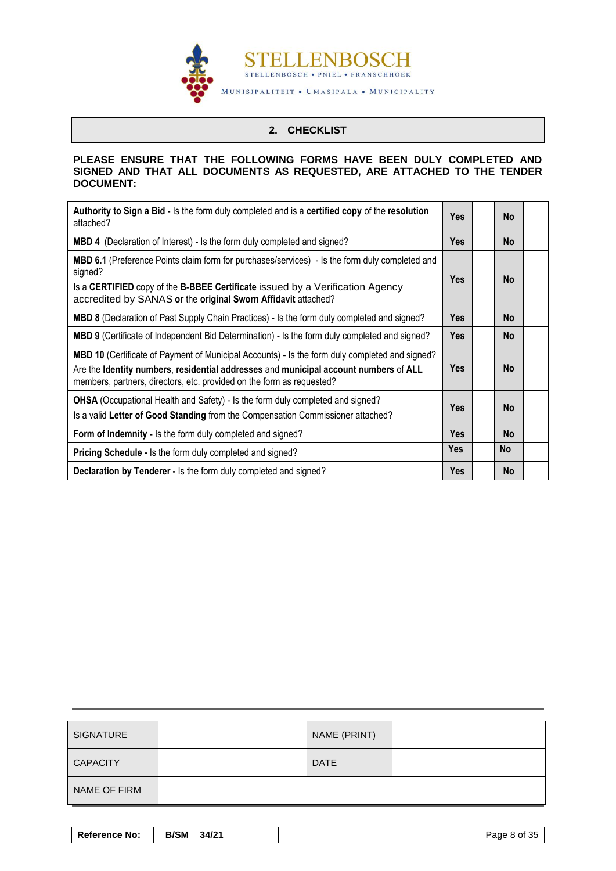

# **2. CHECKLIST**

#### <span id="page-9-0"></span>**PLEASE ENSURE THAT THE FOLLOWING FORMS HAVE BEEN DULY COMPLETED AND SIGNED AND THAT ALL DOCUMENTS AS REQUESTED, ARE ATTACHED TO THE TENDER DOCUMENT:**

| Authority to Sign a Bid - Is the form duly completed and is a certified copy of the resolution<br>attached?                                                                                                                                                            | <b>Yes</b> | <b>No</b> |  |
|------------------------------------------------------------------------------------------------------------------------------------------------------------------------------------------------------------------------------------------------------------------------|------------|-----------|--|
| <b>MBD 4</b> (Declaration of Interest) - Is the form duly completed and signed?                                                                                                                                                                                        | <b>Yes</b> | <b>No</b> |  |
| <b>MBD 6.1</b> (Preference Points claim form for purchases/services) - Is the form duly completed and<br>signed?<br>Is a CERTIFIED copy of the B-BBEE Certificate issued by a Verification Agency<br>accredited by SANAS or the original Sworn Affidavit attached?     | <b>Yes</b> | <b>No</b> |  |
| <b>MBD 8</b> (Declaration of Past Supply Chain Practices) - Is the form duly completed and signed?                                                                                                                                                                     | <b>Yes</b> | <b>No</b> |  |
| <b>MBD 9</b> (Certificate of Independent Bid Determination) - Is the form duly completed and signed?                                                                                                                                                                   | <b>Yes</b> | <b>No</b> |  |
| <b>MBD 10</b> (Certificate of Payment of Municipal Accounts) - Is the form duly completed and signed?<br>Are the Identity numbers, residential addresses and municipal account numbers of ALL<br>members, partners, directors, etc. provided on the form as requested? | <b>Yes</b> | <b>No</b> |  |
| <b>OHSA</b> (Occupational Health and Safety) - Is the form duly completed and signed?<br>Is a valid Letter of Good Standing from the Compensation Commissioner attached?                                                                                               | <b>Yes</b> | <b>No</b> |  |
| Form of Indemnity - Is the form duly completed and signed?                                                                                                                                                                                                             | <b>Yes</b> | <b>No</b> |  |
| <b>Pricing Schedule - Is the form duly completed and signed?</b>                                                                                                                                                                                                       | <b>Yes</b> | <b>No</b> |  |
| Declaration by Tenderer - Is the form duly completed and signed?                                                                                                                                                                                                       | <b>Yes</b> | <b>No</b> |  |

| <b>SIGNATURE</b> | NAME (PRINT) |  |
|------------------|--------------|--|
| <b>CAPACITY</b>  | <b>DATE</b>  |  |
| NAME OF FIRM     |              |  |

| <b>B/SM</b><br>34/21<br><b>Reference No:</b> | Page 8 of 35 |
|----------------------------------------------|--------------|
|----------------------------------------------|--------------|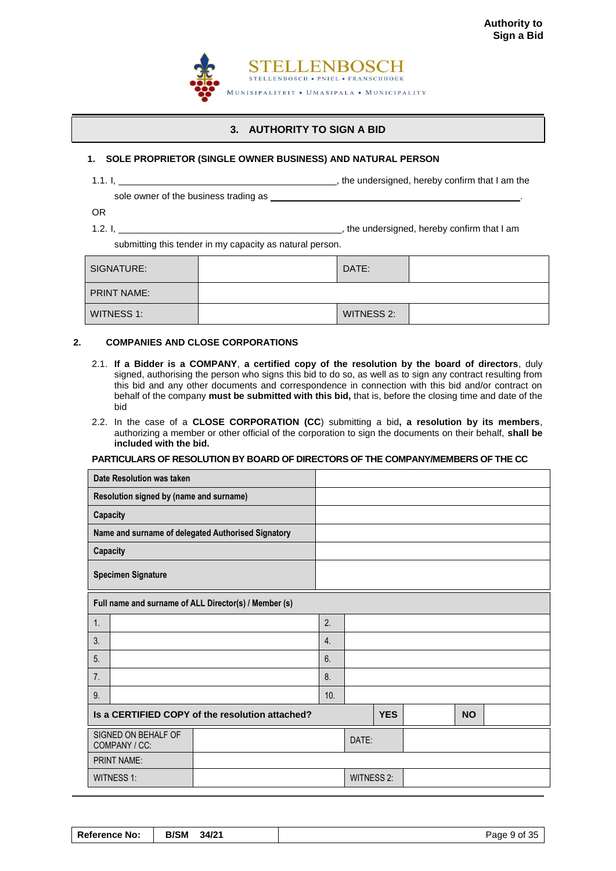

# **3. AUTHORITY TO SIGN A BID**

# <span id="page-10-0"></span>**1. SOLE PROPRIETOR (SINGLE OWNER BUSINESS) AND NATURAL PERSON**

1.1. I,  $\frac{1}{1}$  am the undersigned, hereby confirm that I am the

sole owner of the business trading as \_\_\_\_\_

OR

1.2. I,  $\frac{1}{12}$  is the undersigned, hereby confirm that I am

submitting this tender in my capacity as natural person.

| SIGNATURE:         | DATE: |            |  |
|--------------------|-------|------------|--|
| <b>PRINT NAME:</b> |       |            |  |
| WITNESS 1:         |       | WITNESS 2: |  |

#### **2. COMPANIES AND CLOSE CORPORATIONS**

- 2.1. **If a Bidder is a COMPANY**, **a certified copy of the resolution by the board of directors**, duly signed, authorising the person who signs this bid to do so, as well as to sign any contract resulting from this bid and any other documents and correspondence in connection with this bid and/or contract on behalf of the company **must be submitted with this bid,** that is, before the closing time and date of the bid
- 2.2. In the case of a **CLOSE CORPORATION (CC**) submitting a bid**, a resolution by its members**, authorizing a member or other official of the corporation to sign the documents on their behalf, **shall be included with the bid.**

#### **PARTICULARS OF RESOLUTION BY BOARD OF DIRECTORS OF THE COMPANY/MEMBERS OF THE CC**

|                                         | Date Resolution was taken                       |                                                       |                  |                   |            |  |           |  |
|-----------------------------------------|-------------------------------------------------|-------------------------------------------------------|------------------|-------------------|------------|--|-----------|--|
| Resolution signed by (name and surname) |                                                 |                                                       |                  |                   |            |  |           |  |
|                                         | Capacity                                        |                                                       |                  |                   |            |  |           |  |
|                                         |                                                 | Name and surname of delegated Authorised Signatory    |                  |                   |            |  |           |  |
|                                         | Capacity                                        |                                                       |                  |                   |            |  |           |  |
| <b>Specimen Signature</b>               |                                                 |                                                       |                  |                   |            |  |           |  |
|                                         |                                                 | Full name and surname of ALL Director(s) / Member (s) |                  |                   |            |  |           |  |
| 1.                                      |                                                 |                                                       | 2.               |                   |            |  |           |  |
| 3.                                      |                                                 |                                                       | $\overline{4}$ . |                   |            |  |           |  |
| 5.                                      |                                                 |                                                       | 6.               |                   |            |  |           |  |
| 7 <sub>1</sub>                          |                                                 |                                                       | 8.               |                   |            |  |           |  |
| 9.                                      |                                                 |                                                       | 10.              |                   |            |  |           |  |
|                                         | Is a CERTIFIED COPY of the resolution attached? |                                                       |                  |                   | <b>YES</b> |  | <b>NO</b> |  |
| SIGNED ON BEHALF OF<br>COMPANY / CC:    |                                                 |                                                       |                  | DATE:             |            |  |           |  |
|                                         | PRINT NAME:                                     |                                                       |                  |                   |            |  |           |  |
|                                         | WITNESS 1:                                      |                                                       |                  | <b>WITNESS 2:</b> |            |  |           |  |

**Reference No: | B/SM 34/21 | Page 9 of 35**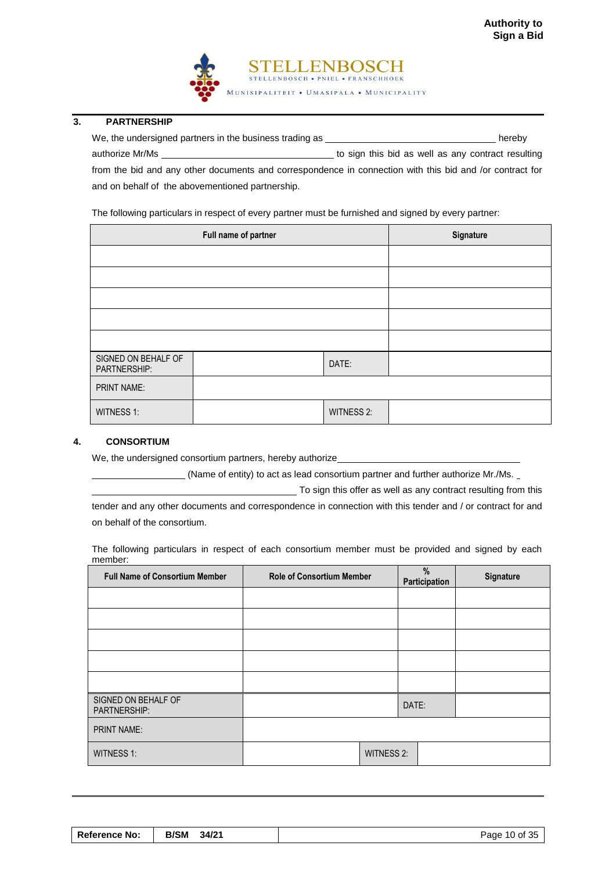

# **3. PARTNERSHIP**

We, the undersigned partners in the business trading as hereby authorize Mr/Ms **the Mr/Ms** to sign this bid as well as any contract resulting from the bid and any other documents and correspondence in connection with this bid and /or contract for

and on behalf of the abovementioned partnership.

The following particulars in respect of every partner must be furnished and signed by every partner:

|                                     | Full name of partner | Signature         |  |
|-------------------------------------|----------------------|-------------------|--|
|                                     |                      |                   |  |
|                                     |                      |                   |  |
|                                     |                      |                   |  |
|                                     |                      |                   |  |
|                                     |                      |                   |  |
| SIGNED ON BEHALF OF<br>PARTNERSHIP: |                      | DATE:             |  |
| <b>PRINT NAME:</b>                  |                      |                   |  |
| <b>WITNESS 1:</b>                   |                      | <b>WITNESS 2:</b> |  |

#### **4. CONSORTIUM**

We, the undersigned consortium partners, hereby authorize\_

(Name of entity) to act as lead consortium partner and further authorize Mr./Ms.

To sign this offer as well as any contract resulting from this

tender and any other documents and correspondence in connection with this tender and / or contract for and on behalf of the consortium.

The following particulars in respect of each consortium member must be provided and signed by each member:

| <b>Full Name of Consortium Member</b> | <b>Role of Consortium Member</b> |                   | %<br><b>Participation</b> | Signature |
|---------------------------------------|----------------------------------|-------------------|---------------------------|-----------|
|                                       |                                  |                   |                           |           |
|                                       |                                  |                   |                           |           |
|                                       |                                  |                   |                           |           |
|                                       |                                  |                   |                           |           |
|                                       |                                  |                   |                           |           |
| SIGNED ON BEHALF OF<br>PARTNERSHIP:   |                                  |                   | DATE:                     |           |
| <b>PRINT NAME:</b>                    |                                  |                   |                           |           |
| <b>WITNESS 1:</b>                     |                                  | <b>WITNESS 2:</b> |                           |           |

| <b>Reference No:</b> | <b>B/SM</b><br>34/21 | Page 10 of 35 |
|----------------------|----------------------|---------------|
|----------------------|----------------------|---------------|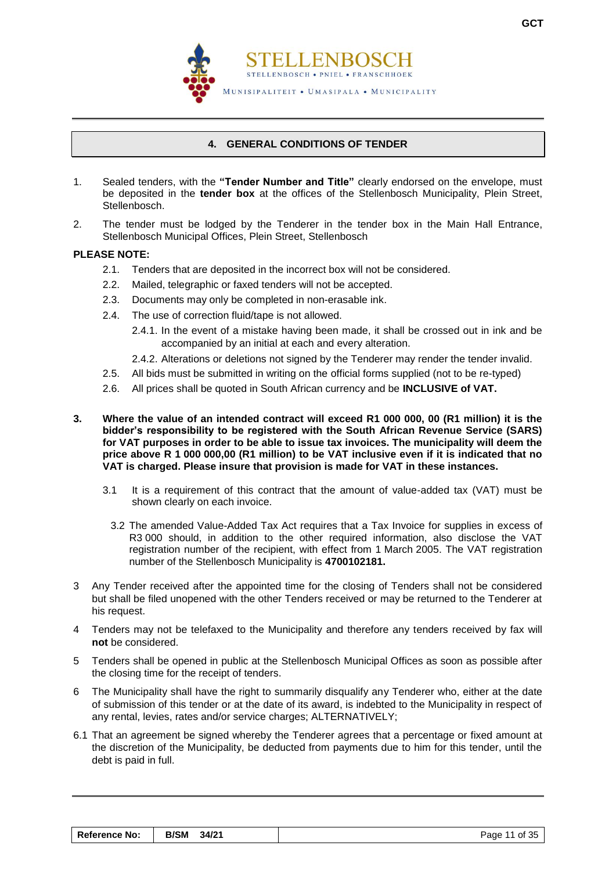

# **4. GENERAL CONDITIONS OF TENDER**

- <span id="page-12-0"></span>1. Sealed tenders, with the **"Tender Number and Title"** clearly endorsed on the envelope, must be deposited in the **tender box** at the offices of the Stellenbosch Municipality, Plein Street, Stellenbosch.
- 2. The tender must be lodged by the Tenderer in the tender box in the Main Hall Entrance, Stellenbosch Municipal Offices, Plein Street, Stellenbosch

#### **PLEASE NOTE:**

- 2.1. Tenders that are deposited in the incorrect box will not be considered.
- 2.2. Mailed, telegraphic or faxed tenders will not be accepted.
- 2.3. Documents may only be completed in non-erasable ink.
- 2.4. The use of correction fluid/tape is not allowed.
	- 2.4.1. In the event of a mistake having been made, it shall be crossed out in ink and be accompanied by an initial at each and every alteration.
	- 2.4.2. Alterations or deletions not signed by the Tenderer may render the tender invalid.
- 2.5. All bids must be submitted in writing on the official forms supplied (not to be re-typed)
- 2.6. All prices shall be quoted in South African currency and be **INCLUSIVE of VAT.**
- **3. Where the value of an intended contract will exceed R1 000 000, 00 (R1 million) it is the bidder's responsibility to be registered with the South African Revenue Service (SARS) for VAT purposes in order to be able to issue tax invoices. The municipality will deem the price above R 1 000 000,00 (R1 million) to be VAT inclusive even if it is indicated that no VAT is charged. Please insure that provision is made for VAT in these instances.**
	- 3.1 It is a requirement of this contract that the amount of value-added tax (VAT) must be shown clearly on each invoice.
		- 3.2 The amended Value-Added Tax Act requires that a Tax Invoice for supplies in excess of R3 000 should, in addition to the other required information, also disclose the VAT registration number of the recipient, with effect from 1 March 2005. The VAT registration number of the Stellenbosch Municipality is **4700102181.**
- 3 Any Tender received after the appointed time for the closing of Tenders shall not be considered but shall be filed unopened with the other Tenders received or may be returned to the Tenderer at his request.
- 4 Tenders may not be telefaxed to the Municipality and therefore any tenders received by fax will **not** be considered.
- 5 Tenders shall be opened in public at the Stellenbosch Municipal Offices as soon as possible after the closing time for the receipt of tenders.
- 6 The Municipality shall have the right to summarily disqualify any Tenderer who, either at the date of submission of this tender or at the date of its award, is indebted to the Municipality in respect of any rental, levies, rates and/or service charges; ALTERNATIVELY;
- 6.1 That an agreement be signed whereby the Tenderer agrees that a percentage or fixed amount at the discretion of the Municipality, be deducted from payments due to him for this tender, until the debt is paid in full.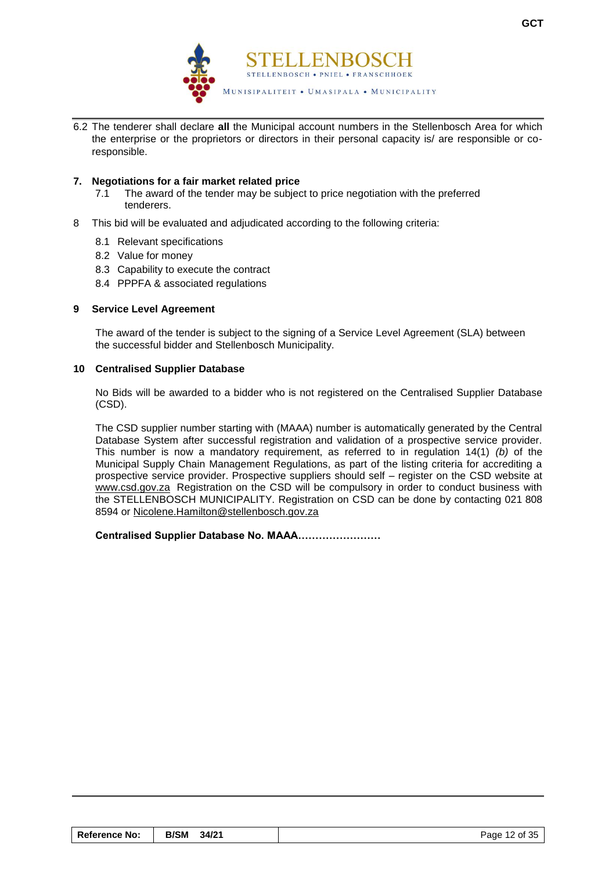

6.2 The tenderer shall declare **all** the Municipal account numbers in the Stellenbosch Area for which the enterprise or the proprietors or directors in their personal capacity is/ are responsible or coresponsible.

# **7. Negotiations for a fair market related price**

- 7.1 The award of the tender may be subject to price negotiation with the preferred tenderers.
- 8 This bid will be evaluated and adjudicated according to the following criteria:
	- 8.1 Relevant specifications
	- 8.2 Value for money
	- 8.3 Capability to execute the contract
	- 8.4 PPPFA & associated regulations

# **9 Service Level Agreement**

The award of the tender is subject to the signing of a Service Level Agreement (SLA) between the successful bidder and Stellenbosch Municipality.

#### **10 Centralised Supplier Database**

No Bids will be awarded to a bidder who is not registered on the Centralised Supplier Database (CSD).

The CSD supplier number starting with (MAAA) number is automatically generated by the Central Database System after successful registration and validation of a prospective service provider. This number is now a mandatory requirement, as referred to in regulation 14(1) *(b)* of the Municipal Supply Chain Management Regulations, as part of the listing criteria for accrediting a prospective service provider. Prospective suppliers should self – register on the CSD website at [www.csd.gov.za](http://www.csd.gov.za/) Registration on the CSD will be compulsory in order to conduct business with the STELLENBOSCH MUNICIPALITY. Registration on CSD can be done by contacting 021 808 8594 or [Nicolene.Hamilton@stellenbosch.gov.za](mailto:Nicolene.Hamilton@stellenbosch.gov.za)

**Centralised Supplier Database No. MAAA……………………** 

| Reference No: | <b>B/SM</b><br>34/21 | Page 12 of 35 |
|---------------|----------------------|---------------|
|---------------|----------------------|---------------|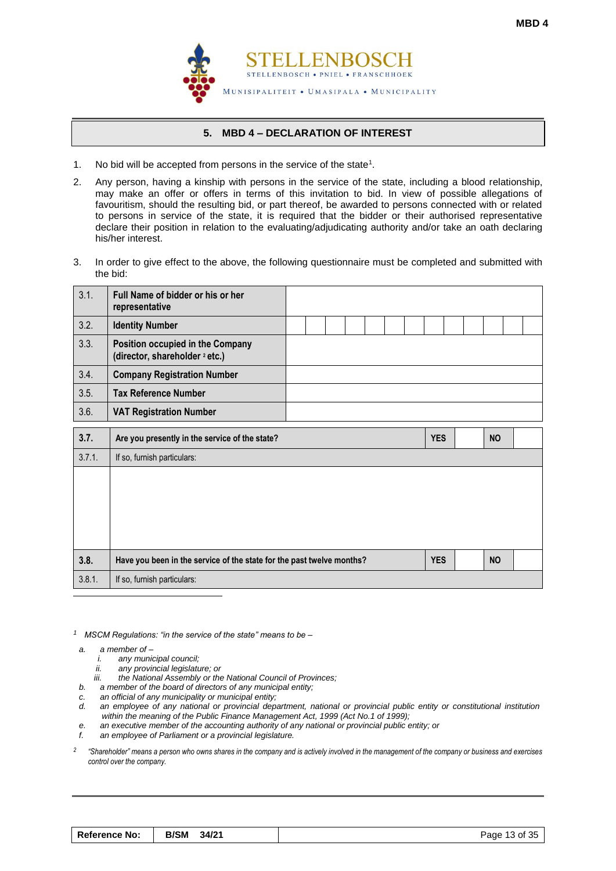

# **5. MBD 4 – DECLARATION OF INTEREST**

- <span id="page-14-0"></span>1. No bid will be accepted from persons in the service of the state<sup>1</sup>.
- 2. Any person, having a kinship with persons in the service of the state, including a blood relationship, may make an offer or offers in terms of this invitation to bid. In view of possible allegations of favouritism, should the resulting bid, or part thereof, be awarded to persons connected with or related to persons in service of the state, it is required that the bidder or their authorised representative declare their position in relation to the evaluating/adjudicating authority and/or take an oath declaring his/her interest.
- 3. In order to give effect to the above, the following questionnaire must be completed and submitted with the bid:

| 3.1.   | Full Name of bidder or his or her<br>representative                           |  |  |  |            |  |           |  |
|--------|-------------------------------------------------------------------------------|--|--|--|------------|--|-----------|--|
| 3.2.   | <b>Identity Number</b>                                                        |  |  |  |            |  |           |  |
| 3.3.   | Position occupied in the Company<br>(director, shareholder <sup>2</sup> etc.) |  |  |  |            |  |           |  |
| 3.4.   | <b>Company Registration Number</b>                                            |  |  |  |            |  |           |  |
| 3.5.   | <b>Tax Reference Number</b>                                                   |  |  |  |            |  |           |  |
| 3.6.   | <b>VAT Registration Number</b>                                                |  |  |  |            |  |           |  |
| 3.7.   | Are you presently in the service of the state?                                |  |  |  | <b>YES</b> |  | <b>NO</b> |  |
| 3.7.1. | If so, furnish particulars:                                                   |  |  |  |            |  |           |  |
|        |                                                                               |  |  |  |            |  |           |  |
| 3.8.   | Have you been in the service of the state for the past twelve months?         |  |  |  | <b>YES</b> |  | <b>NO</b> |  |
| 3.8.1. | If so, furnish particulars:                                                   |  |  |  |            |  |           |  |
|        |                                                                               |  |  |  |            |  |           |  |

*1 MSCM Regulations: "in the service of the state" means to be –*

- *a. a member of –*
	- *i. any municipal council;*
	- *ii. any provincial legislature; or*
	- *iii. the National Assembly or the National Council of Provinces;*
- *b. a member of the board of directors of any municipal entity;*
- *c. an official of any municipality or municipal entity;*
- *d. an employee of any national or provincial department, national or provincial public entity or constitutional institution within the meaning of the Public Finance Management Act, 1999 (Act No.1 of 1999);*
- *e. an executive member of the accounting authority of any national or provincial public entity; or*
- *f. an employee of Parliament or a provincial legislature.*

*2 "Shareholder" means a person who owns shares in the company and is actively involved in the management of the company or business and exercises control over the company.*

| <b>Reference No:</b> | <b>B/SM</b><br>34/21 | Page 13 of 35 |
|----------------------|----------------------|---------------|
|----------------------|----------------------|---------------|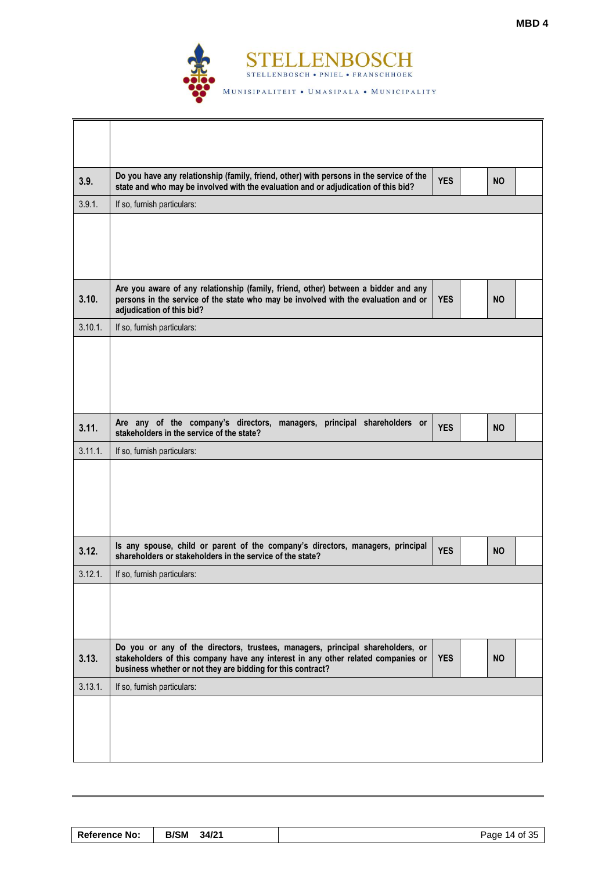

| 3.9.    | Do you have any relationship (family, friend, other) with persons in the service of the<br>state and who may be involved with the evaluation and or adjudication of this bid?                                                     | <b>YES</b> | <b>NO</b> |  |
|---------|-----------------------------------------------------------------------------------------------------------------------------------------------------------------------------------------------------------------------------------|------------|-----------|--|
| 3.9.1.  | If so, furnish particulars:                                                                                                                                                                                                       |            |           |  |
|         |                                                                                                                                                                                                                                   |            |           |  |
| 3.10.   | Are you aware of any relationship (family, friend, other) between a bidder and any<br>persons in the service of the state who may be involved with the evaluation and or<br>adjudication of this bid?                             | <b>YES</b> | <b>NO</b> |  |
| 3.10.1. | If so, furnish particulars:                                                                                                                                                                                                       |            |           |  |
|         |                                                                                                                                                                                                                                   |            |           |  |
| 3.11.   | Are any of the company's directors, managers, principal shareholders or<br>stakeholders in the service of the state?                                                                                                              | <b>YES</b> | <b>NO</b> |  |
| 3.11.1. | If so, furnish particulars:                                                                                                                                                                                                       |            |           |  |
|         |                                                                                                                                                                                                                                   |            |           |  |
| 3.12.   | Is any spouse, child or parent of the company's directors, managers, principal<br>shareholders or stakeholders in the service of the state?                                                                                       | <b>YES</b> | <b>NO</b> |  |
| 3.12.1. | If so, furnish particulars:                                                                                                                                                                                                       |            |           |  |
|         |                                                                                                                                                                                                                                   |            |           |  |
| 3.13.   | Do you or any of the directors, trustees, managers, principal shareholders, or<br>stakeholders of this company have any interest in any other related companies or<br>business whether or not they are bidding for this contract? | <b>YES</b> | <b>NO</b> |  |
| 3.13.1. | If so, furnish particulars:                                                                                                                                                                                                       |            |           |  |
|         |                                                                                                                                                                                                                                   |            |           |  |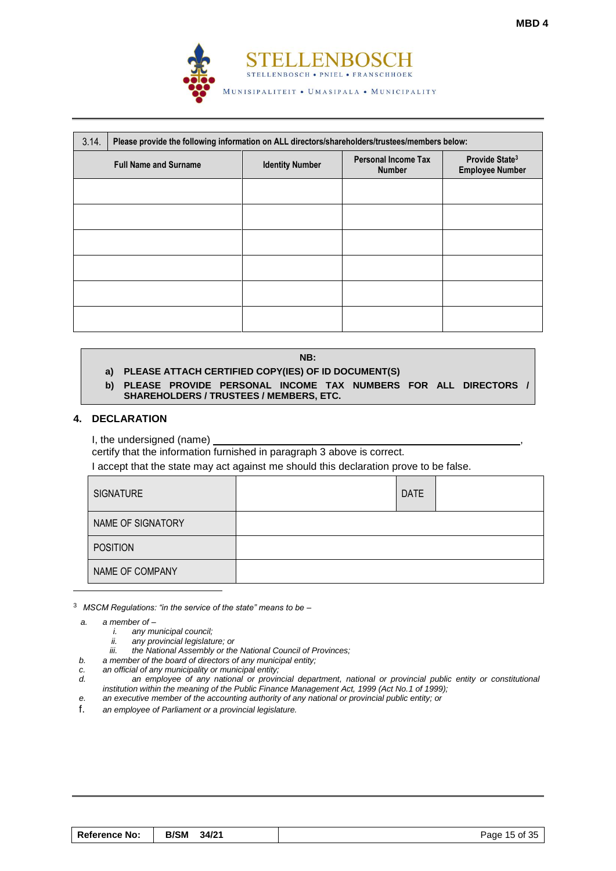

| 3.14.                        | Please provide the following information on ALL directors/shareholders/trustees/members below: |                        |                                             |                                                      |  |  |  |  |  |
|------------------------------|------------------------------------------------------------------------------------------------|------------------------|---------------------------------------------|------------------------------------------------------|--|--|--|--|--|
| <b>Full Name and Surname</b> |                                                                                                | <b>Identity Number</b> | <b>Personal Income Tax</b><br><b>Number</b> | Provide State <sup>3</sup><br><b>Employee Number</b> |  |  |  |  |  |
|                              |                                                                                                |                        |                                             |                                                      |  |  |  |  |  |
|                              |                                                                                                |                        |                                             |                                                      |  |  |  |  |  |
|                              |                                                                                                |                        |                                             |                                                      |  |  |  |  |  |
|                              |                                                                                                |                        |                                             |                                                      |  |  |  |  |  |
|                              |                                                                                                |                        |                                             |                                                      |  |  |  |  |  |
|                              |                                                                                                |                        |                                             |                                                      |  |  |  |  |  |

#### **NB:**

# **a) PLEASE ATTACH CERTIFIED COPY(IES) OF ID DOCUMENT(S)**

**b) PLEASE PROVIDE PERSONAL INCOME TAX NUMBERS FOR ALL DIRECTORS / SHAREHOLDERS / TRUSTEES / MEMBERS, ETC.**

#### **4. DECLARATION**

I, the undersigned (name)

certify that the information furnished in paragraph 3 above is correct.

I accept that the state may act against me should this declaration prove to be false.

| <b>SIGNATURE</b>  | <b>DATE</b> |  |
|-------------------|-------------|--|
| NAME OF SIGNATORY |             |  |
| <b>POSITION</b>   |             |  |
| NAME OF COMPANY   |             |  |

<sup>3</sup> *MSCM Regulations: "in the service of the state" means to be –*

*a. a member of –*

l

- *i. any municipal council;*
- *ii. any provincial legislature; or*
- *iii. the National Assembly or the National Council of Provinces;*
- *b. a member of the board of directors of any municipal entity;*
- *c. an official of any municipality or municipal entity;*
- *d. an employee of any national or provincial department, national or provincial public entity or constitutional institution within the meaning of the Public Finance Management Act, 1999 (Act No.1 of 1999);*
- *e. an executive member of the accounting authority of any national or provincial public entity; or*
- f. *an employee of Parliament or a provincial legislature.*

| <b>Reference No:</b> | B/SM 34/21 | Page 15 of 35 |
|----------------------|------------|---------------|
|----------------------|------------|---------------|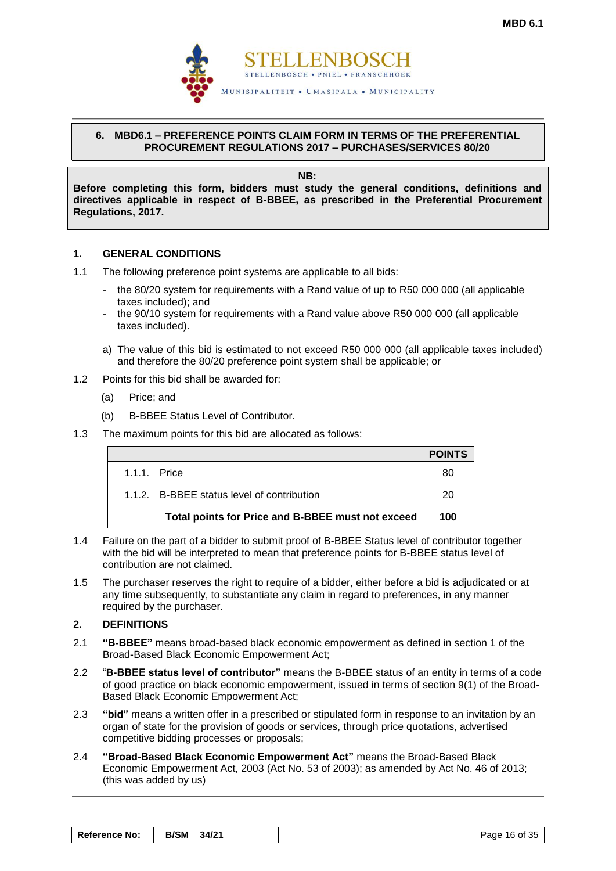

# <span id="page-17-0"></span>**6. MBD6.1 – PREFERENCE POINTS CLAIM FORM IN TERMS OF THE PREFERENTIAL PROCUREMENT REGULATIONS 2017 – PURCHASES/SERVICES 80/20**

**NB:**

**Before completing this form, bidders must study the general conditions, definitions and directives applicable in respect of B-BBEE, as prescribed in the Preferential Procurement Regulations, 2017.** 

# **1. GENERAL CONDITIONS**

- 1.1 The following preference point systems are applicable to all bids:
	- the 80/20 system for requirements with a Rand value of up to R50 000 000 (all applicable taxes included); and
	- the 90/10 system for requirements with a Rand value above R50 000 000 (all applicable taxes included).
	- a) The value of this bid is estimated to not exceed R50 000 000 (all applicable taxes included) and therefore the 80/20 preference point system shall be applicable; or
- 1.2 Points for this bid shall be awarded for:
	- (a) Price; and
	- (b) B-BBEE Status Level of Contributor.
- 1.3 The maximum points for this bid are allocated as follows:

|                                                   | <b>POINTS</b> |
|---------------------------------------------------|---------------|
| $1.1.1$ Price                                     | 80            |
| 1.1.2. B-BBEE status level of contribution        | 20            |
| Total points for Price and B-BBEE must not exceed | 100           |

- 1.4 Failure on the part of a bidder to submit proof of B-BBEE Status level of contributor together with the bid will be interpreted to mean that preference points for B-BBEE status level of contribution are not claimed.
- 1.5 The purchaser reserves the right to require of a bidder, either before a bid is adjudicated or at any time subsequently, to substantiate any claim in regard to preferences, in any manner required by the purchaser.

# **2. DEFINITIONS**

- 2.1 **"B-BBEE"** means broad-based black economic empowerment as defined in section 1 of the Broad-Based Black Economic Empowerment Act;
- 2.2 "**B-BBEE status level of contributor"** means the B-BBEE status of an entity in terms of a code of good practice on black economic empowerment, issued in terms of section 9(1) of the Broad-Based Black Economic Empowerment Act;
- 2.3 **"bid"** means a written offer in a prescribed or stipulated form in response to an invitation by an organ of state for the provision of goods or services, through price quotations, advertised competitive bidding processes or proposals;
- 2.4 **"Broad-Based Black Economic Empowerment Act"** means the Broad-Based Black Economic Empowerment Act, 2003 (Act No. 53 of 2003); as amended by Act No. 46 of 2013; (this was added by us)

| <b>Reference No:</b> | B/SM 34/21 | Page 16 of 35 |
|----------------------|------------|---------------|
|----------------------|------------|---------------|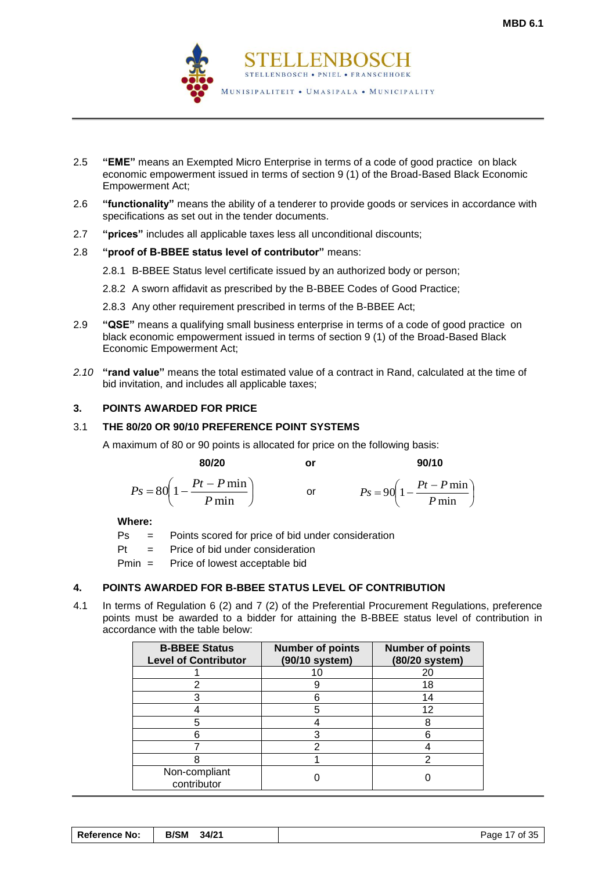

- 2.5 **"EME"** means an Exempted Micro Enterprise in terms of a code of good practice on black economic empowerment issued in terms of section 9 (1) of the Broad-Based Black Economic Empowerment Act;
- 2.6 **"functionality"** means the ability of a tenderer to provide goods or services in accordance with specifications as set out in the tender documents.
- 2.7 **"prices"** includes all applicable taxes less all unconditional discounts;

# 2.8 **"proof of B-BBEE status level of contributor"** means:

- 2.8.1 B-BBEE Status level certificate issued by an authorized body or person;
- 2.8.2 A sworn affidavit as prescribed by the B-BBEE Codes of Good Practice;
- 2.8.3 Any other requirement prescribed in terms of the B-BBEE Act;
- 2.9 **"QSE"** means a qualifying small business enterprise in terms of a code of good practice on black economic empowerment issued in terms of section 9 (1) of the Broad-Based Black Economic Empowerment Act;
- *2.10* **"rand value"** means the total estimated value of a contract in Rand, calculated at the time of bid invitation, and includes all applicable taxes;

# **3. POINTS AWARDED FOR PRICE**

# 3.1 **THE 80/20 OR 90/10 PREFERENCE POINT SYSTEMS**

A maximum of 80 or 90 points is allocated for price on the following basis:

 **80/20 or 90/10**

$$
Ps = 80\left(1 - \frac{Pt - P \min}{P \min}\right) \qquad \text{or} \qquad \qquad Ps = 90\left(1 - \frac{Pt - P \min}{P \min}\right)
$$

**Where:**

- Ps = Points scored for price of bid under consideration
- Pt = Price of bid under consideration

Pmin = Price of lowest acceptable bid

# **4. POINTS AWARDED FOR B-BBEE STATUS LEVEL OF CONTRIBUTION**

4.1 In terms of Regulation 6 (2) and 7 (2) of the Preferential Procurement Regulations, preference points must be awarded to a bidder for attaining the B-BBEE status level of contribution in accordance with the table below:

| <b>B-BBEE Status</b><br><b>Level of Contributor</b> | <b>Number of points</b><br>(90/10 system) | <b>Number of points</b><br>(80/20 system) |
|-----------------------------------------------------|-------------------------------------------|-------------------------------------------|
|                                                     |                                           | 20                                        |
|                                                     |                                           | 18                                        |
|                                                     |                                           | 14                                        |
|                                                     |                                           | 12                                        |
|                                                     |                                           |                                           |
|                                                     |                                           |                                           |
|                                                     |                                           |                                           |
|                                                     |                                           |                                           |
| Non-compliant<br>contributor                        |                                           |                                           |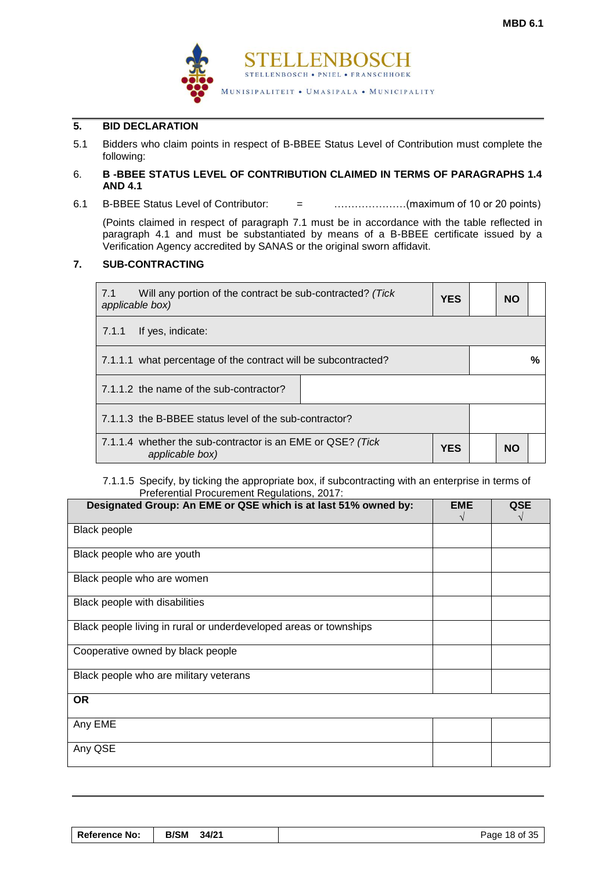

# **5. BID DECLARATION**

5.1 Bidders who claim points in respect of B-BBEE Status Level of Contribution must complete the following:

# 6. **B -BBEE STATUS LEVEL OF CONTRIBUTION CLAIMED IN TERMS OF PARAGRAPHS 1.4 AND 4.1**

6.1 B-BBEE Status Level of Contributor: = …………………(maximum of 10 or 20 points)

(Points claimed in respect of paragraph 7.1 must be in accordance with the table reflected in paragraph 4.1 and must be substantiated by means of a B-BBEE certificate issued by a Verification Agency accredited by SANAS or the original sworn affidavit.

# **7. SUB-CONTRACTING**

| Will any portion of the contract be sub-contracted? (Tick<br>7.1<br><b>YES</b><br>applicable box) |  |           | <b>NO</b> |   |
|---------------------------------------------------------------------------------------------------|--|-----------|-----------|---|
| If yes, indicate:<br>7.1.1                                                                        |  |           |           |   |
| 7.1.1.1 what percentage of the contract will be subcontracted?                                    |  |           |           | % |
| 7.1.1.2 the name of the sub-contractor?                                                           |  |           |           |   |
| 7.1.1.3 the B-BBEE status level of the sub-contractor?                                            |  |           |           |   |
| 7.1.1.4 whether the sub-contractor is an EME or QSE? (Tick<br><b>YES</b><br>applicable box)       |  | <b>NO</b> |           |   |

# 7.1.1.5 Specify, by ticking the appropriate box, if subcontracting with an enterprise in terms of Preferential Procurement Regulations, 2017:

| Designated Group: An EME or QSE which is at last 51% owned by:    | <b>EME</b> | <b>QSE</b> |
|-------------------------------------------------------------------|------------|------------|
| <b>Black people</b>                                               |            |            |
| Black people who are youth                                        |            |            |
| Black people who are women                                        |            |            |
| Black people with disabilities                                    |            |            |
| Black people living in rural or underdeveloped areas or townships |            |            |
| Cooperative owned by black people                                 |            |            |
| Black people who are military veterans                            |            |            |
| <b>OR</b>                                                         |            |            |
| Any EME                                                           |            |            |
| Any QSE                                                           |            |            |

| Reference No: | <b>B/SM</b><br>34/21 | Page 18 of 35 |
|---------------|----------------------|---------------|
|---------------|----------------------|---------------|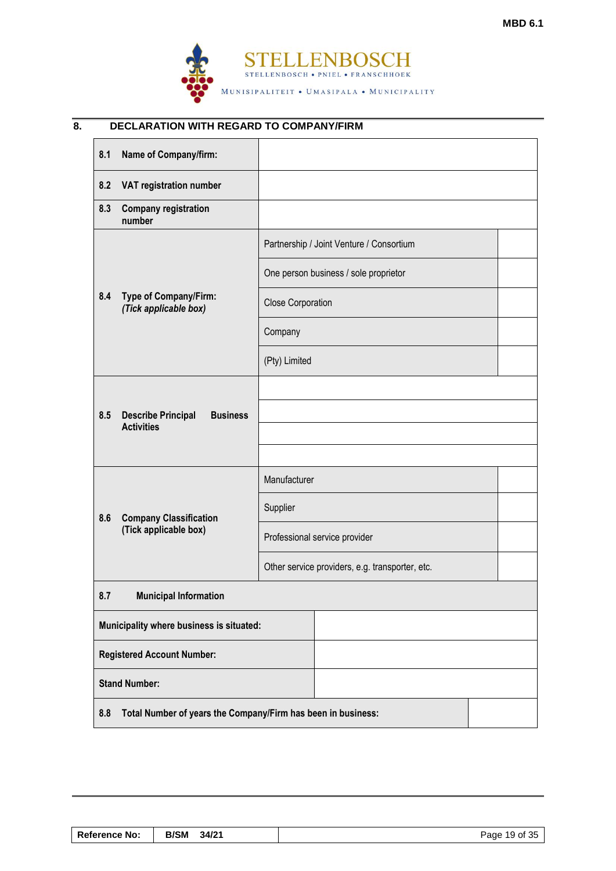

# **8. DECLARATION WITH REGARD TO COMPANY/FIRM**

| 8.1 | Name of Company/firm:                                             |                          |                                                 |  |  |
|-----|-------------------------------------------------------------------|--------------------------|-------------------------------------------------|--|--|
| 8.2 | VAT registration number                                           |                          |                                                 |  |  |
| 8.3 | <b>Company registration</b><br>number                             |                          |                                                 |  |  |
|     |                                                                   |                          | Partnership / Joint Venture / Consortium        |  |  |
|     |                                                                   |                          | One person business / sole proprietor           |  |  |
| 8.4 | Type of Company/Firm:<br>(Tick applicable box)                    | <b>Close Corporation</b> |                                                 |  |  |
|     |                                                                   | Company                  |                                                 |  |  |
|     |                                                                   | (Pty) Limited            |                                                 |  |  |
|     |                                                                   |                          |                                                 |  |  |
| 8.5 | <b>Describe Principal</b><br><b>Business</b><br><b>Activities</b> |                          |                                                 |  |  |
|     |                                                                   |                          |                                                 |  |  |
|     |                                                                   | Manufacturer             |                                                 |  |  |
| 8.6 | <b>Company Classification</b>                                     | Supplier                 |                                                 |  |  |
|     | (Tick applicable box)                                             |                          | Professional service provider                   |  |  |
|     |                                                                   |                          | Other service providers, e.g. transporter, etc. |  |  |
| 8.7 | <b>Municipal Information</b>                                      |                          |                                                 |  |  |
|     | Municipality where business is situated:                          |                          |                                                 |  |  |
|     | <b>Registered Account Number:</b>                                 |                          |                                                 |  |  |
|     | <b>Stand Number:</b>                                              |                          |                                                 |  |  |
| 8.8 | Total Number of years the Company/Firm has been in business:      |                          |                                                 |  |  |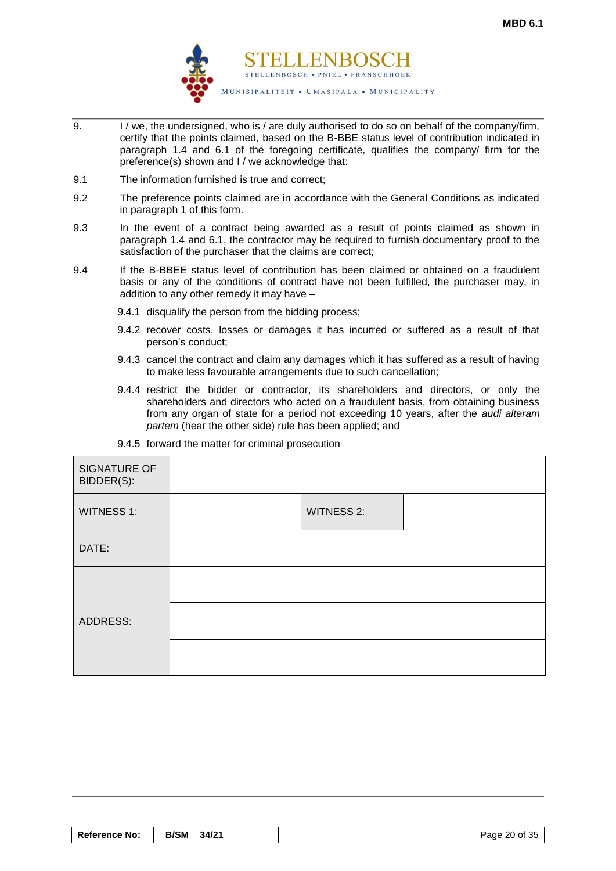

- 9. I / we, the undersigned, who is / are duly authorised to do so on behalf of the company/firm, certify that the points claimed, based on the B-BBE status level of contribution indicated in paragraph 1.4 and 6.1 of the foregoing certificate, qualifies the company/ firm for the preference(s) shown and I / we acknowledge that:
- 9.1 The information furnished is true and correct;
- 9.2 The preference points claimed are in accordance with the General Conditions as indicated in paragraph 1 of this form.
- 9.3 In the event of a contract being awarded as a result of points claimed as shown in paragraph 1.4 and 6.1, the contractor may be required to furnish documentary proof to the satisfaction of the purchaser that the claims are correct;
- 9.4 If the B-BBEE status level of contribution has been claimed or obtained on a fraudulent basis or any of the conditions of contract have not been fulfilled, the purchaser may, in addition to any other remedy it may have –
	- 9.4.1 disqualify the person from the bidding process;
	- 9.4.2 recover costs, losses or damages it has incurred or suffered as a result of that person's conduct;
	- 9.4.3 cancel the contract and claim any damages which it has suffered as a result of having to make less favourable arrangements due to such cancellation;
	- 9.4.4 restrict the bidder or contractor, its shareholders and directors, or only the shareholders and directors who acted on a fraudulent basis, from obtaining business from any organ of state for a period not exceeding 10 years, after the *audi alteram partem* (hear the other side) rule has been applied; and

| SIGNATURE OF<br>BIDDER(S): |                   |  |
|----------------------------|-------------------|--|
| <b>WITNESS 1:</b>          | <b>WITNESS 2:</b> |  |
| DATE:                      |                   |  |
| ADDRESS:                   |                   |  |
|                            |                   |  |
|                            |                   |  |

9.4.5 forward the matter for criminal prosecution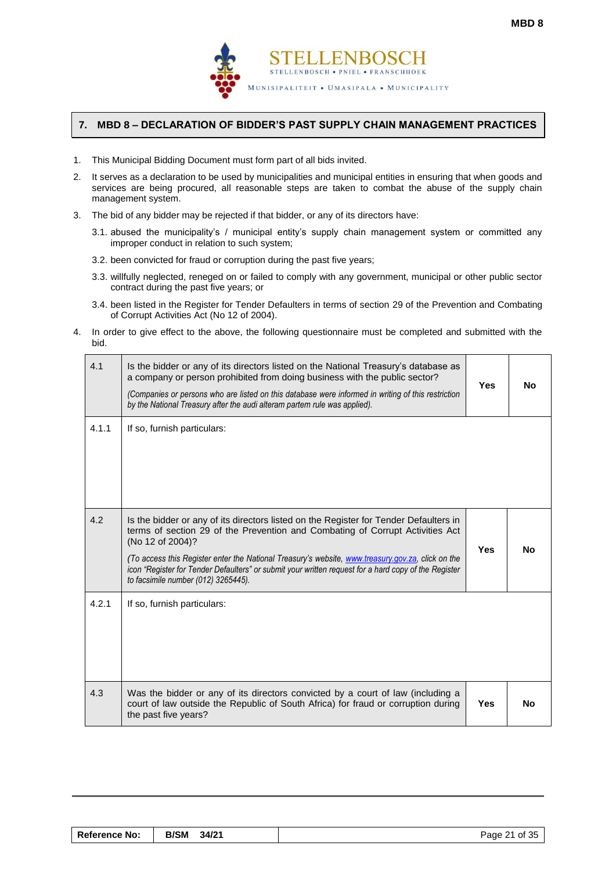

# <span id="page-22-0"></span>**7. MBD 8 – DECLARATION OF BIDDER'S PAST SUPPLY CHAIN MANAGEMENT PRACTICES**

- 1. This Municipal Bidding Document must form part of all bids invited.
- 2. It serves as a declaration to be used by municipalities and municipal entities in ensuring that when goods and services are being procured, all reasonable steps are taken to combat the abuse of the supply chain management system.
- 3. The bid of any bidder may be rejected if that bidder, or any of its directors have:
	- 3.1. abused the municipality's / municipal entity's supply chain management system or committed any improper conduct in relation to such system;
	- 3.2. been convicted for fraud or corruption during the past five years;
	- 3.3. willfully neglected, reneged on or failed to comply with any government, municipal or other public sector contract during the past five years; or
	- 3.4. been listed in the Register for Tender Defaulters in terms of section 29 of the Prevention and Combating of Corrupt Activities Act (No 12 of 2004).
- 4. In order to give effect to the above, the following questionnaire must be completed and submitted with the bid.

| 4.1   | Is the bidder or any of its directors listed on the National Treasury's database as<br>a company or person prohibited from doing business with the public sector?<br>(Companies or persons who are listed on this database were informed in writing of this restriction<br>by the National Treasury after the audi alteram partem rule was applied).                                                                                           | <b>Yes</b> | <b>No</b> |
|-------|------------------------------------------------------------------------------------------------------------------------------------------------------------------------------------------------------------------------------------------------------------------------------------------------------------------------------------------------------------------------------------------------------------------------------------------------|------------|-----------|
| 4.1.1 | If so, furnish particulars:                                                                                                                                                                                                                                                                                                                                                                                                                    |            |           |
| 4.2   | Is the bidder or any of its directors listed on the Register for Tender Defaulters in<br>terms of section 29 of the Prevention and Combating of Corrupt Activities Act<br>(No 12 of 2004)?<br>(To access this Register enter the National Treasury's website, www.treasury.gov.za, click on the<br>icon "Register for Tender Defaulters" or submit your written request for a hard copy of the Register<br>to facsimile number (012) 3265445). | <b>Yes</b> | <b>No</b> |
| 4.2.1 | If so, furnish particulars:                                                                                                                                                                                                                                                                                                                                                                                                                    |            |           |
| 4.3   | Was the bidder or any of its directors convicted by a court of law (including a<br>court of law outside the Republic of South Africa) for fraud or corruption during<br>the past five years?                                                                                                                                                                                                                                                   | <b>Yes</b> | <b>No</b> |

| <b>Reference No:</b> | <b>B/SM</b><br>34/21 | Page 21 of 35 |
|----------------------|----------------------|---------------|
|----------------------|----------------------|---------------|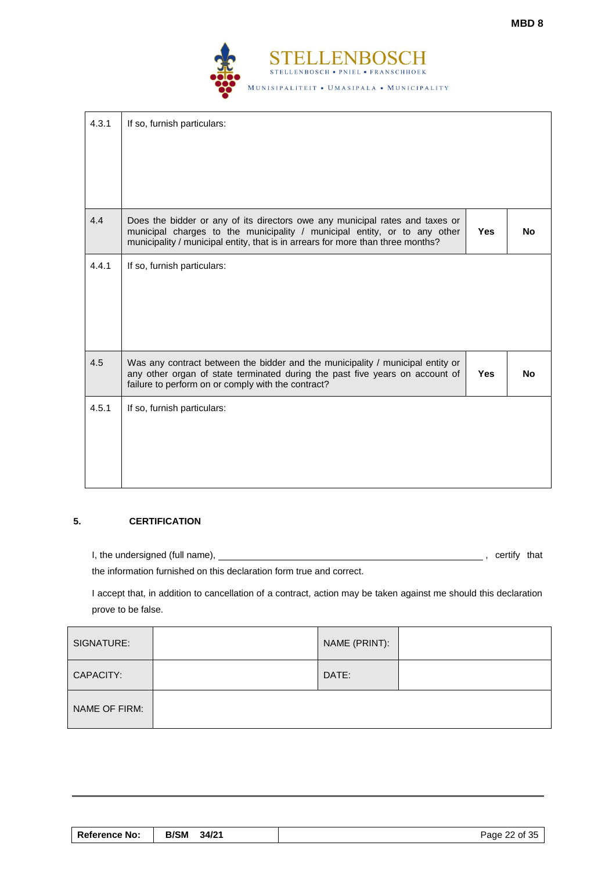

| 4.3.1 | If so, furnish particulars:                                                                                                                                                                                                                  |            |           |
|-------|----------------------------------------------------------------------------------------------------------------------------------------------------------------------------------------------------------------------------------------------|------------|-----------|
| 4.4   | Does the bidder or any of its directors owe any municipal rates and taxes or<br>municipal charges to the municipality / municipal entity, or to any other<br>municipality / municipal entity, that is in arrears for more than three months? | <b>Yes</b> | No.       |
| 4.4.1 | If so, furnish particulars:                                                                                                                                                                                                                  |            |           |
| 4.5   | Was any contract between the bidder and the municipality / municipal entity or<br>any other organ of state terminated during the past five years on account of<br>failure to perform on or comply with the contract?                         | <b>Yes</b> | <b>No</b> |
| 4.5.1 | If so, furnish particulars:                                                                                                                                                                                                                  |            |           |

# **5. CERTIFICATION**

I, the undersigned (full name), , certify that

the information furnished on this declaration form true and correct.

I accept that, in addition to cancellation of a contract, action may be taken against me should this declaration prove to be false.

| SIGNATURE:    | NAME (PRINT): |  |
|---------------|---------------|--|
| CAPACITY:     | DATE:         |  |
| NAME OF FIRM: |               |  |

| <b>B/SM</b><br>Reference No:<br>34/21 | Page 22 of 35 |
|---------------------------------------|---------------|
|---------------------------------------|---------------|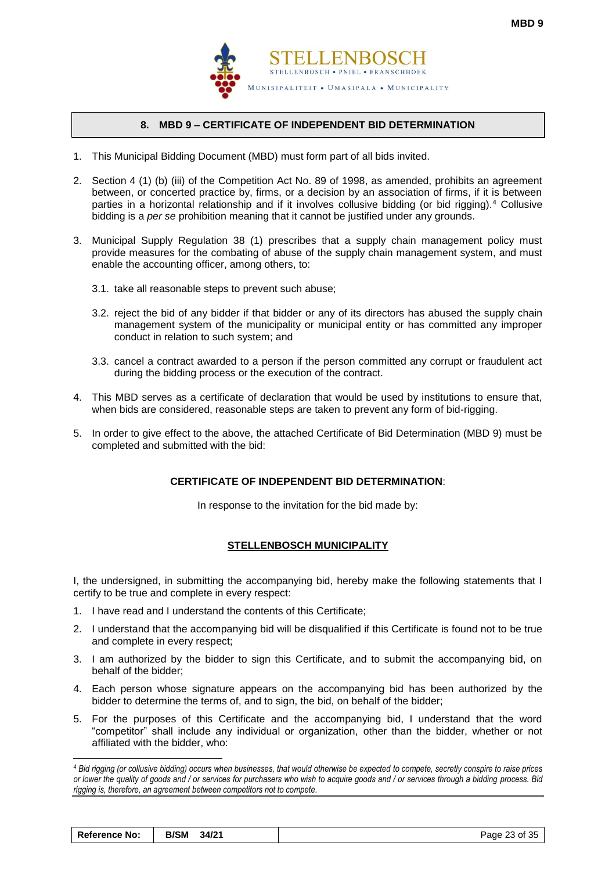

# **8. MBD 9 – CERTIFICATE OF INDEPENDENT BID DETERMINATION**

- <span id="page-24-0"></span>1. This Municipal Bidding Document (MBD) must form part of all bids invited.
- 2. Section 4 (1) (b) (iii) of the Competition Act No. 89 of 1998, as amended, prohibits an agreement between, or concerted practice by, firms, or a decision by an association of firms, if it is between parties in a horizontal relationship and if it involves collusive bidding (or bid rigging).<sup>4</sup> Collusive bidding is a *per se* prohibition meaning that it cannot be justified under any grounds.
- 3. Municipal Supply Regulation 38 (1) prescribes that a supply chain management policy must provide measures for the combating of abuse of the supply chain management system, and must enable the accounting officer, among others, to:
	- 3.1. take all reasonable steps to prevent such abuse;
	- 3.2. reject the bid of any bidder if that bidder or any of its directors has abused the supply chain management system of the municipality or municipal entity or has committed any improper conduct in relation to such system; and
	- 3.3. cancel a contract awarded to a person if the person committed any corrupt or fraudulent act during the bidding process or the execution of the contract.
- 4. This MBD serves as a certificate of declaration that would be used by institutions to ensure that, when bids are considered, reasonable steps are taken to prevent any form of bid-rigging.
- 5. In order to give effect to the above, the attached Certificate of Bid Determination (MBD 9) must be completed and submitted with the bid:

# **CERTIFICATE OF INDEPENDENT BID DETERMINATION**:

In response to the invitation for the bid made by:

# **STELLENBOSCH MUNICIPALITY**

I, the undersigned, in submitting the accompanying bid, hereby make the following statements that I certify to be true and complete in every respect:

1. I have read and I understand the contents of this Certificate;

l

- 2. I understand that the accompanying bid will be disqualified if this Certificate is found not to be true and complete in every respect;
- 3. I am authorized by the bidder to sign this Certificate, and to submit the accompanying bid, on behalf of the bidder;
- 4. Each person whose signature appears on the accompanying bid has been authorized by the bidder to determine the terms of, and to sign, the bid, on behalf of the bidder;
- 5. For the purposes of this Certificate and the accompanying bid, I understand that the word "competitor" shall include any individual or organization, other than the bidder, whether or not affiliated with the bidder, who:

*<sup>4</sup> Bid rigging (or collusive bidding) occurs when businesses, that would otherwise be expected to compete, secretly conspire to raise prices or lower the quality of goods and / or services for purchasers who wish to acquire goods and / or services through a bidding process. Bid rigging is, therefore, an agreement between competitors not to compete.*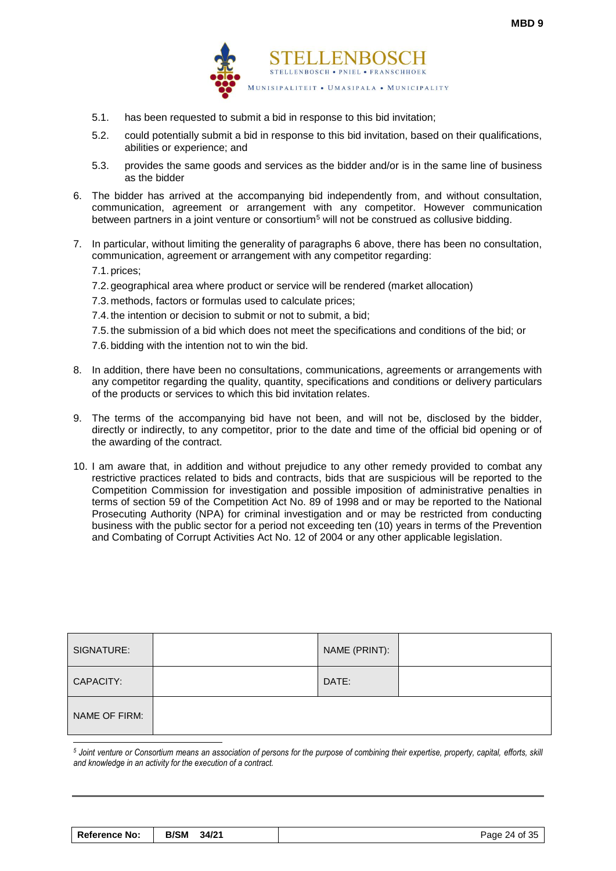

- 5.1. has been requested to submit a bid in response to this bid invitation;
- 5.2. could potentially submit a bid in response to this bid invitation, based on their qualifications, abilities or experience; and
- 5.3. provides the same goods and services as the bidder and/or is in the same line of business as the bidder
- 6. The bidder has arrived at the accompanying bid independently from, and without consultation, communication, agreement or arrangement with any competitor. However communication between partners in a joint venture or consortium<sup>5</sup> will not be construed as collusive bidding.
- 7. In particular, without limiting the generality of paragraphs 6 above, there has been no consultation, communication, agreement or arrangement with any competitor regarding:

7.1. prices;

- 7.2. geographical area where product or service will be rendered (market allocation)
- 7.3. methods, factors or formulas used to calculate prices;
- 7.4. the intention or decision to submit or not to submit, a bid;
- 7.5. the submission of a bid which does not meet the specifications and conditions of the bid; or
- 7.6. bidding with the intention not to win the bid.
- 8. In addition, there have been no consultations, communications, agreements or arrangements with any competitor regarding the quality, quantity, specifications and conditions or delivery particulars of the products or services to which this bid invitation relates.
- 9. The terms of the accompanying bid have not been, and will not be, disclosed by the bidder, directly or indirectly, to any competitor, prior to the date and time of the official bid opening or of the awarding of the contract.
- 10. I am aware that, in addition and without prejudice to any other remedy provided to combat any restrictive practices related to bids and contracts, bids that are suspicious will be reported to the Competition Commission for investigation and possible imposition of administrative penalties in terms of section 59 of the Competition Act No. 89 of 1998 and or may be reported to the National Prosecuting Authority (NPA) for criminal investigation and or may be restricted from conducting business with the public sector for a period not exceeding ten (10) years in terms of the Prevention and Combating of Corrupt Activities Act No. 12 of 2004 or any other applicable legislation.

| SIGNATURE:    | NAME (PRINT): |  |
|---------------|---------------|--|
| CAPACITY:     | DATE:         |  |
| NAME OF FIRM: |               |  |
|               |               |  |

*<sup>5</sup> Joint venture or Consortium means an association of persons for the purpose of combining their expertise, property, capital, efforts, skill and knowledge in an activity for the execution of a contract.*

| <b>Reference No:</b> | <b>B/SM</b><br>34/21 | Page 24 of 35 |
|----------------------|----------------------|---------------|
|----------------------|----------------------|---------------|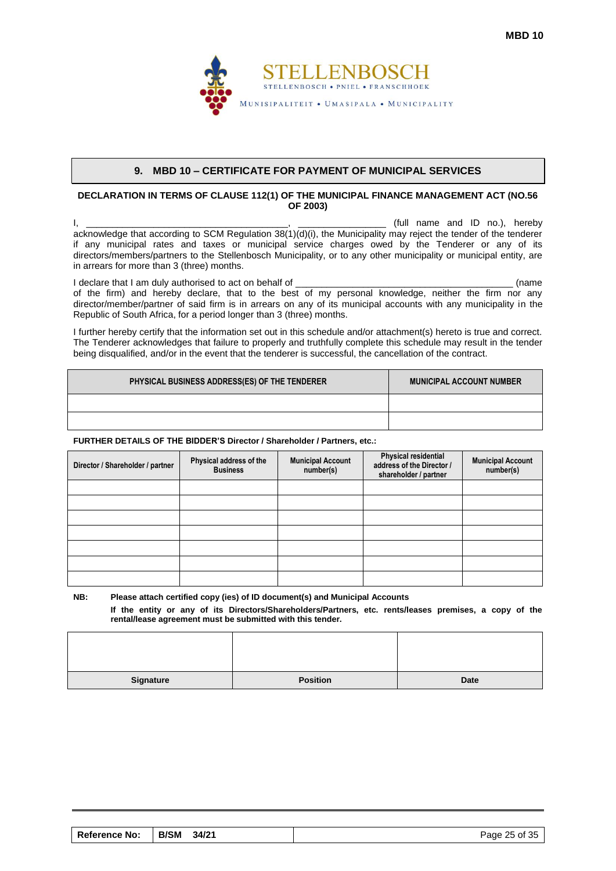

#### **9. MBD 10 – CERTIFICATE FOR PAYMENT OF MUNICIPAL SERVICES**

#### <span id="page-26-0"></span>**DECLARATION IN TERMS OF CLAUSE 112(1) OF THE MUNICIPAL FINANCE MANAGEMENT ACT (NO.56 OF 2003)**

 $\mathsf{I}, \mathsf{I}, \mathsf{I}$ acknowledge that according to SCM Regulation  $38(1)(d)(i)$ , the Municipality may reject the tender of the tenderer if any municipal rates and taxes or municipal service charges owed by the Tenderer or any of its directors/members/partners to the Stellenbosch Municipality, or to any other municipality or municipal entity, are in arrears for more than 3 (three) months.

I declare that I am duly authorised to act on behalf of \_\_\_\_\_\_\_\_\_\_\_\_\_\_\_\_\_\_\_\_\_\_\_\_\_\_\_\_\_\_\_\_\_\_\_\_\_\_\_\_\_\_ (name of the firm) and hereby declare, that to the best of my personal knowledge, neither the firm nor any director/member/partner of said firm is in arrears on any of its municipal accounts with any municipality in the Republic of South Africa, for a period longer than 3 (three) months.

I further hereby certify that the information set out in this schedule and/or attachment(s) hereto is true and correct. The Tenderer acknowledges that failure to properly and truthfully complete this schedule may result in the tender being disqualified, and/or in the event that the tenderer is successful, the cancellation of the contract.

| PHYSICAL BUSINESS ADDRESS(ES) OF THE TENDERER | <b>MUNICIPAL ACCOUNT NUMBER</b> |
|-----------------------------------------------|---------------------------------|
|                                               |                                 |
|                                               |                                 |

#### **FURTHER DETAILS OF THE BIDDER'S Director / Shareholder / Partners, etc.:**

| Director / Shareholder / partner | Physical address of the<br><b>Business</b> | <b>Municipal Account</b><br>number(s) | <b>Physical residential</b><br>address of the Director /<br>shareholder / partner | <b>Municipal Account</b><br>number(s) |
|----------------------------------|--------------------------------------------|---------------------------------------|-----------------------------------------------------------------------------------|---------------------------------------|
|                                  |                                            |                                       |                                                                                   |                                       |
|                                  |                                            |                                       |                                                                                   |                                       |
|                                  |                                            |                                       |                                                                                   |                                       |
|                                  |                                            |                                       |                                                                                   |                                       |
|                                  |                                            |                                       |                                                                                   |                                       |
|                                  |                                            |                                       |                                                                                   |                                       |
|                                  |                                            |                                       |                                                                                   |                                       |

**NB: Please attach certified copy (ies) of ID document(s) and Municipal Accounts If the entity or any of its Directors/Shareholders/Partners, etc. rents/leases premises, a copy of the rental/lease agreement must be submitted with this tender.**

| <b>Reference No:</b> | <b>B/SM</b><br>34/21 | Page 25 of 35 |
|----------------------|----------------------|---------------|
|----------------------|----------------------|---------------|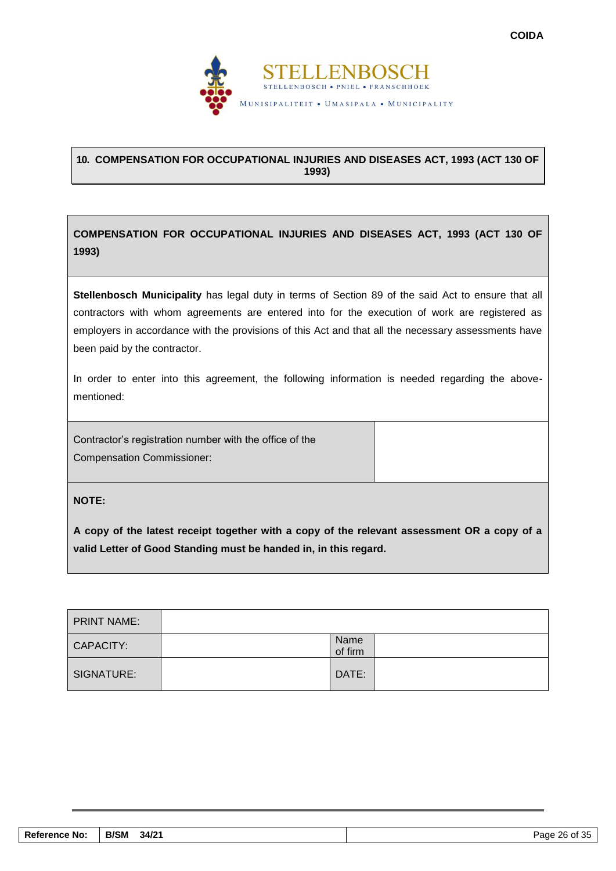

# <span id="page-27-0"></span>**10. COMPENSATION FOR OCCUPATIONAL INJURIES AND DISEASES ACT, 1993 (ACT 130 OF 1993)**

**COMPENSATION FOR OCCUPATIONAL INJURIES AND DISEASES ACT, 1993 (ACT 130 OF 1993)**

**Stellenbosch Municipality** has legal duty in terms of Section 89 of the said Act to ensure that all contractors with whom agreements are entered into for the execution of work are registered as employers in accordance with the provisions of this Act and that all the necessary assessments have been paid by the contractor.

In order to enter into this agreement, the following information is needed regarding the abovementioned:

Contractor's registration number with the office of the Compensation Commissioner:

**NOTE:**

**A copy of the latest receipt together with a copy of the relevant assessment OR a copy of a valid Letter of Good Standing must be handed in, in this regard.**

| <b>PRINT NAME:</b> |                 |  |
|--------------------|-----------------|--|
| CAPACITY:          | Name<br>of firm |  |
| SIGNATURE:         | DATE:           |  |

| <b>Reference No:</b> | <b>B/SM</b><br>34/21 | 26 of 35<br>Page |
|----------------------|----------------------|------------------|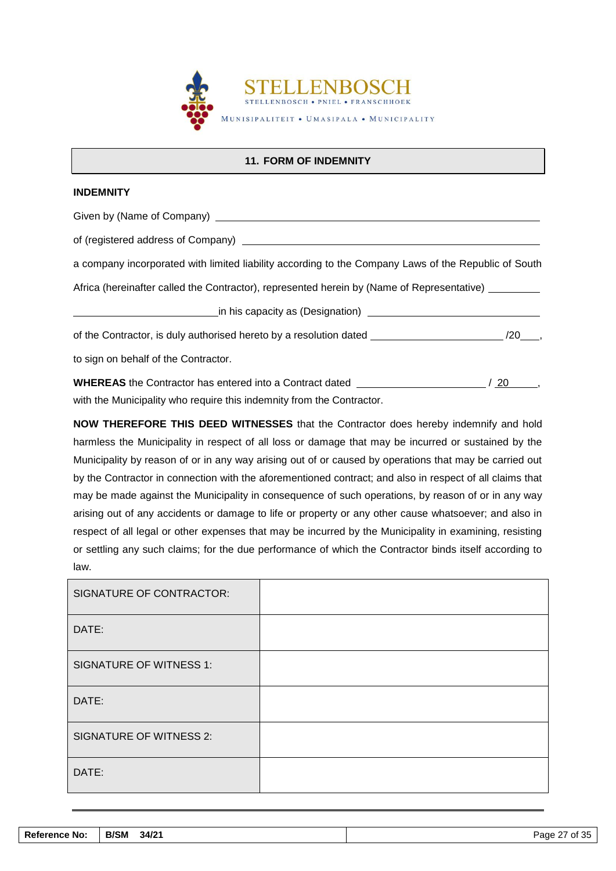

# **11. FORM OF INDEMNITY**

#### <span id="page-28-0"></span>**INDEMNITY**

Given by (Name of Company)

of (registered address of Company)

a company incorporated with limited liability according to the Company Laws of the Republic of South

Africa (hereinafter called the Contractor), represented herein by (Name of Representative) \_\_\_\_\_\_\_\_

in his capacity as (Designation) [199] The state of the state of the state of the state of the state of the sta

of the Contractor, is duly authorised hereto by a resolution dated /20 /20 ,

to sign on behalf of the Contractor.

**WHEREAS** the Contractor has entered into a Contract dated  $/ 20$ , with the Municipality who require this indemnity from the Contractor.

**NOW THEREFORE THIS DEED WITNESSES** that the Contractor does hereby indemnify and hold harmless the Municipality in respect of all loss or damage that may be incurred or sustained by the Municipality by reason of or in any way arising out of or caused by operations that may be carried out by the Contractor in connection with the aforementioned contract; and also in respect of all claims that may be made against the Municipality in consequence of such operations, by reason of or in any way arising out of any accidents or damage to life or property or any other cause whatsoever; and also in respect of all legal or other expenses that may be incurred by the Municipality in examining, resisting or settling any such claims; for the due performance of which the Contractor binds itself according to law.

| SIGNATURE OF CONTRACTOR:       |  |
|--------------------------------|--|
| DATE:                          |  |
| <b>SIGNATURE OF WITNESS 1:</b> |  |
| DATE:                          |  |
| <b>SIGNATURE OF WITNESS 2:</b> |  |
| DATE:                          |  |

| <b>Reference No:</b> | <b>B/SM</b><br>34/21 | of 35<br>Page<br>ັບປ |
|----------------------|----------------------|----------------------|
|                      |                      |                      |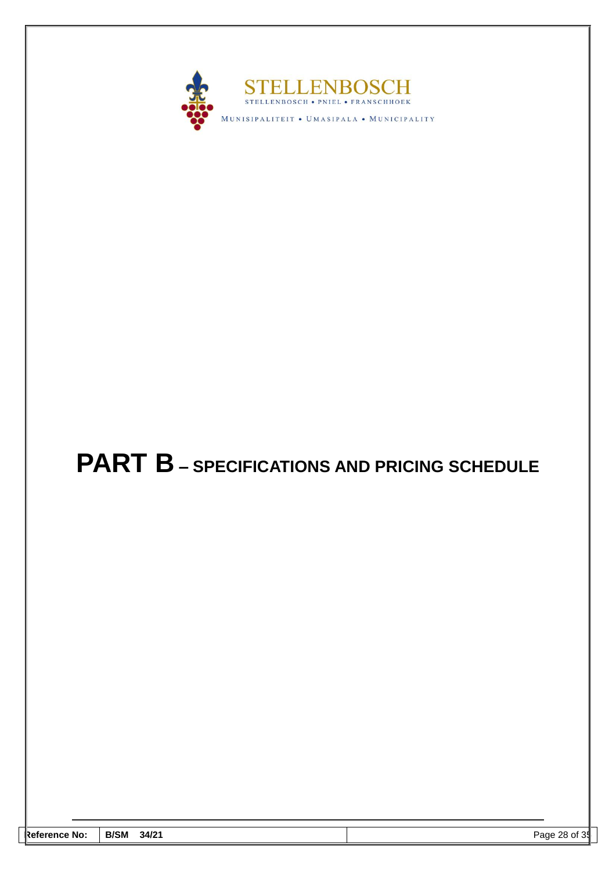

# <span id="page-29-0"></span>**PART B – SPECIFICATIONS AND PRICING SCHEDULE**

| _ | - Refe | <b>B/SM</b> | 31   |
|---|--------|-------------|------|
|   | erence | 34/21       | 28   |
|   | . NO   |             | Page |
|   |        |             | וט כ |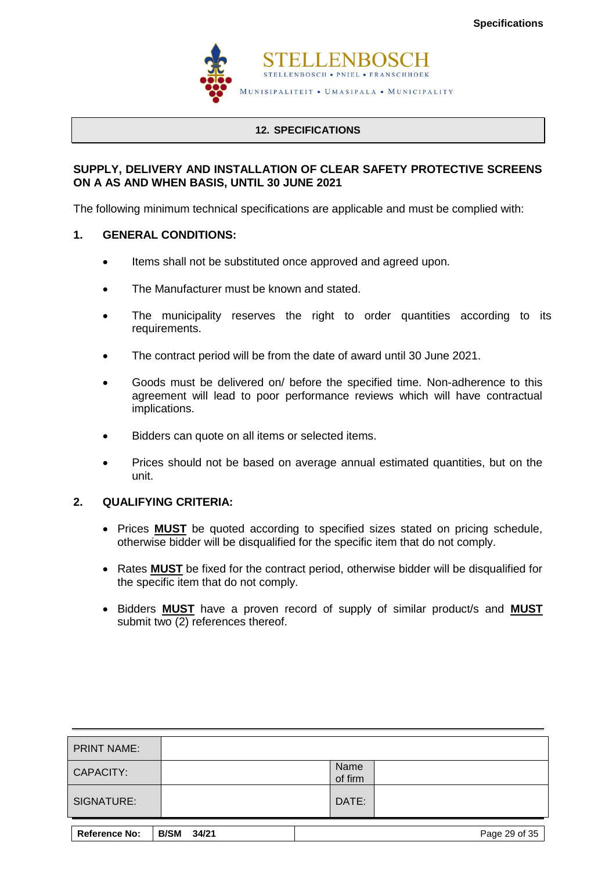

# **12. SPECIFICATIONS**

# <span id="page-30-0"></span>**SUPPLY, DELIVERY AND INSTALLATION OF CLEAR SAFETY PROTECTIVE SCREENS ON A AS AND WHEN BASIS, UNTIL 30 JUNE 2021**

The following minimum technical specifications are applicable and must be complied with:

# **1. GENERAL CONDITIONS:**

- Items shall not be substituted once approved and agreed upon.
- The Manufacturer must be known and stated.
- The municipality reserves the right to order quantities according to its requirements.
- The contract period will be from the date of award until 30 June 2021.
- Goods must be delivered on/ before the specified time. Non-adherence to this agreement will lead to poor performance reviews which will have contractual implications.
- Bidders can quote on all items or selected items.
- Prices should not be based on average annual estimated quantities, but on the unit.

# **2. QUALIFYING CRITERIA:**

- Prices **MUST** be quoted according to specified sizes stated on pricing schedule, otherwise bidder will be disqualified for the specific item that do not comply.
- Rates **MUST** be fixed for the contract period, otherwise bidder will be disqualified for the specific item that do not comply.
- Bidders **MUST** have a proven record of supply of similar product/s and **MUST**  submit two (2) references thereof.

| <b>PRINT NAME:</b>   |                      |                 |               |
|----------------------|----------------------|-----------------|---------------|
| <b>CAPACITY:</b>     |                      | Name<br>of firm |               |
| SIGNATURE:           |                      | DATE:           |               |
| <b>Reference No:</b> | <b>B/SM</b><br>34/21 |                 | Page 29 of 35 |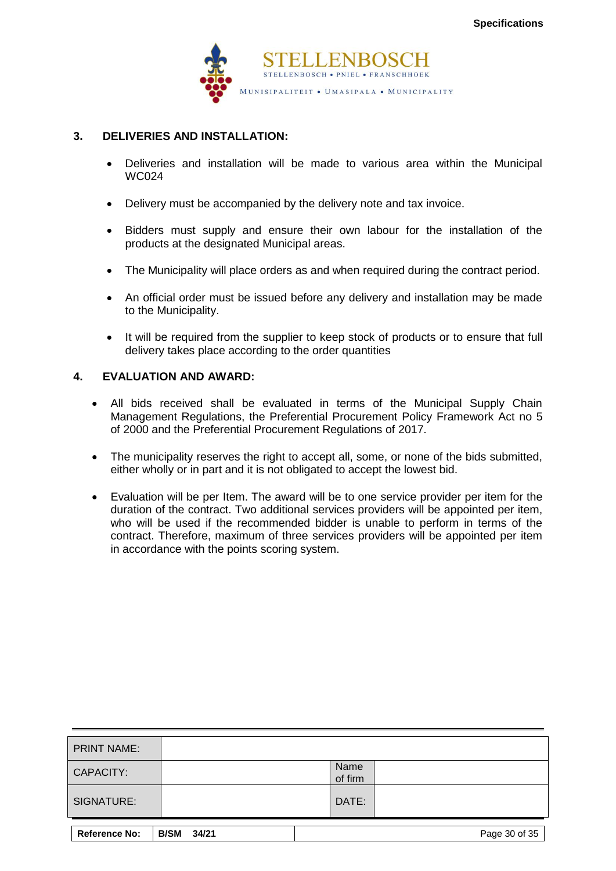

# **3. DELIVERIES AND INSTALLATION:**

- Deliveries and installation will be made to various area within the Municipal WC024
- Delivery must be accompanied by the delivery note and tax invoice.
- Bidders must supply and ensure their own labour for the installation of the products at the designated Municipal areas.
- The Municipality will place orders as and when required during the contract period.
- An official order must be issued before any delivery and installation may be made to the Municipality.
- It will be required from the supplier to keep stock of products or to ensure that full delivery takes place according to the order quantities

# **4. EVALUATION AND AWARD:**

- All bids received shall be evaluated in terms of the Municipal Supply Chain Management Regulations, the Preferential Procurement Policy Framework Act no 5 of 2000 and the Preferential Procurement Regulations of 2017.
- The municipality reserves the right to accept all, some, or none of the bids submitted, either wholly or in part and it is not obligated to accept the lowest bid.
- Evaluation will be per Item. The award will be to one service provider per item for the duration of the contract. Two additional services providers will be appointed per item, who will be used if the recommended bidder is unable to perform in terms of the contract. Therefore, maximum of three services providers will be appointed per item in accordance with the points scoring system.

| <b>PRINT NAME:</b>   |                      |                 |               |
|----------------------|----------------------|-----------------|---------------|
| <b>CAPACITY:</b>     |                      | Name<br>of firm |               |
| SIGNATURE:           |                      | DATE:           |               |
| <b>Reference No:</b> | <b>B/SM</b><br>34/21 |                 | Page 30 of 35 |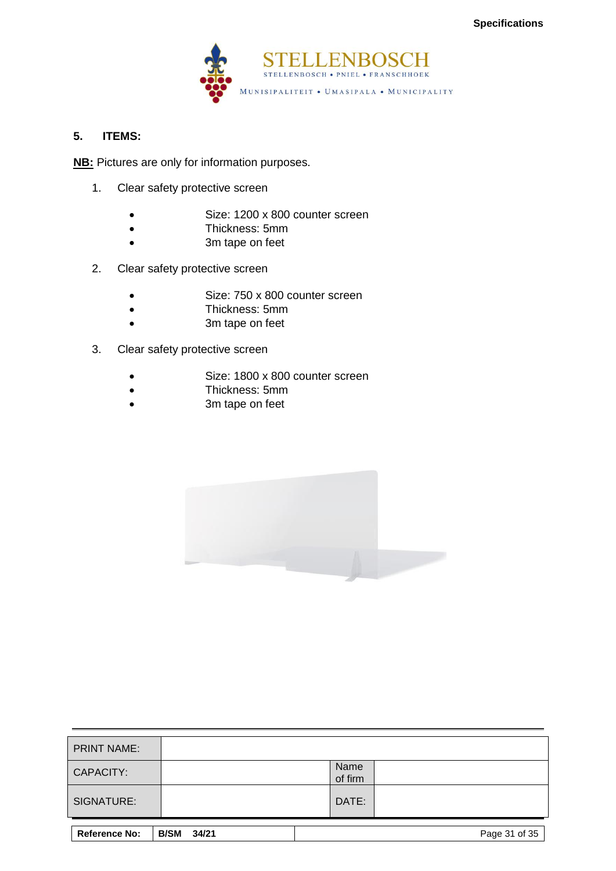

# **5. ITEMS:**

**NB:** Pictures are only for information purposes.

- 1. Clear safety protective screen
	- Size: 1200 x 800 counter screen
	- Thickness: 5mm
	- 3m tape on feet
- 2. Clear safety protective screen
	- Size: 750 x 800 counter screen
	- Thickness: 5mm
	- 3m tape on feet
- 3. Clear safety protective screen
	- Size: 1800 x 800 counter screen
	- Thickness: 5mm
	- 3m tape on feet



| <b>PRINT NAME:</b>   |                      |                 |               |
|----------------------|----------------------|-----------------|---------------|
| <b>CAPACITY:</b>     |                      | Name<br>of firm |               |
| SIGNATURE:           |                      | DATE:           |               |
| <b>Reference No:</b> | <b>B/SM</b><br>34/21 |                 | Page 31 of 35 |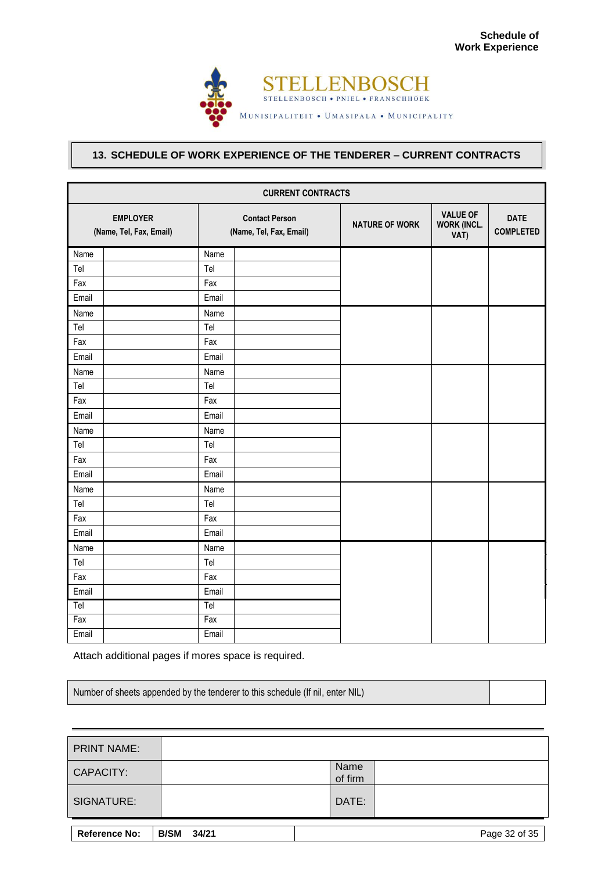

# <span id="page-33-0"></span>**13. SCHEDULE OF WORK EXPERIENCE OF THE TENDERER – CURRENT CONTRACTS**

| <b>CURRENT CONTRACTS</b>                   |                                                  |  |                       |                                               |                                 |  |  |  |
|--------------------------------------------|--------------------------------------------------|--|-----------------------|-----------------------------------------------|---------------------------------|--|--|--|
| <b>EMPLOYER</b><br>(Name, Tel, Fax, Email) | <b>Contact Person</b><br>(Name, Tel, Fax, Email) |  | <b>NATURE OF WORK</b> | <b>VALUE OF</b><br><b>WORK (INCL.</b><br>VAT) | <b>DATE</b><br><b>COMPLETED</b> |  |  |  |
| Name                                       | Name                                             |  |                       |                                               |                                 |  |  |  |
| Tel                                        | Tel                                              |  |                       |                                               |                                 |  |  |  |
| Fax                                        | Fax                                              |  |                       |                                               |                                 |  |  |  |
| Email                                      | Email                                            |  |                       |                                               |                                 |  |  |  |
| Name                                       | Name                                             |  |                       |                                               |                                 |  |  |  |
| Tel                                        | Tel                                              |  |                       |                                               |                                 |  |  |  |
| Fax                                        | Fax                                              |  |                       |                                               |                                 |  |  |  |
| Email                                      | Email                                            |  |                       |                                               |                                 |  |  |  |
| Name                                       | Name                                             |  |                       |                                               |                                 |  |  |  |
| Tel                                        | Tel                                              |  |                       |                                               |                                 |  |  |  |
| Fax                                        | Fax                                              |  |                       |                                               |                                 |  |  |  |
| Email                                      | Email                                            |  |                       |                                               |                                 |  |  |  |
| Name                                       | Name                                             |  |                       |                                               |                                 |  |  |  |
| Tel                                        | Tel                                              |  |                       |                                               |                                 |  |  |  |
| Fax                                        | Fax                                              |  |                       |                                               |                                 |  |  |  |
| Email                                      | Email                                            |  |                       |                                               |                                 |  |  |  |
| Name                                       | Name                                             |  |                       |                                               |                                 |  |  |  |
| Tel                                        | Tel                                              |  |                       |                                               |                                 |  |  |  |
| Fax                                        | Fax                                              |  |                       |                                               |                                 |  |  |  |
| Email                                      | Email                                            |  |                       |                                               |                                 |  |  |  |
| Name                                       | Name                                             |  |                       |                                               |                                 |  |  |  |
| Tel                                        | Tel                                              |  |                       |                                               |                                 |  |  |  |
| Fax                                        | Fax                                              |  |                       |                                               |                                 |  |  |  |
| Email                                      | Email                                            |  |                       |                                               |                                 |  |  |  |
| Tel                                        | Tel                                              |  |                       |                                               |                                 |  |  |  |
| Fax                                        | Fax                                              |  |                       |                                               |                                 |  |  |  |
| Email                                      | Email                                            |  |                       |                                               |                                 |  |  |  |

Attach additional pages if mores space is required.

| Number of sheets appended by the tenderer to this schedule (If nil, enter NIL) |  |
|--------------------------------------------------------------------------------|--|
|--------------------------------------------------------------------------------|--|

| <b>PRINT NAME:</b>   |                      |                 |               |
|----------------------|----------------------|-----------------|---------------|
| CAPACITY:            |                      | Name<br>of firm |               |
| SIGNATURE:           |                      | DATE:           |               |
| <b>Reference No:</b> | 34/21<br><b>B/SM</b> |                 | Page 32 of 35 |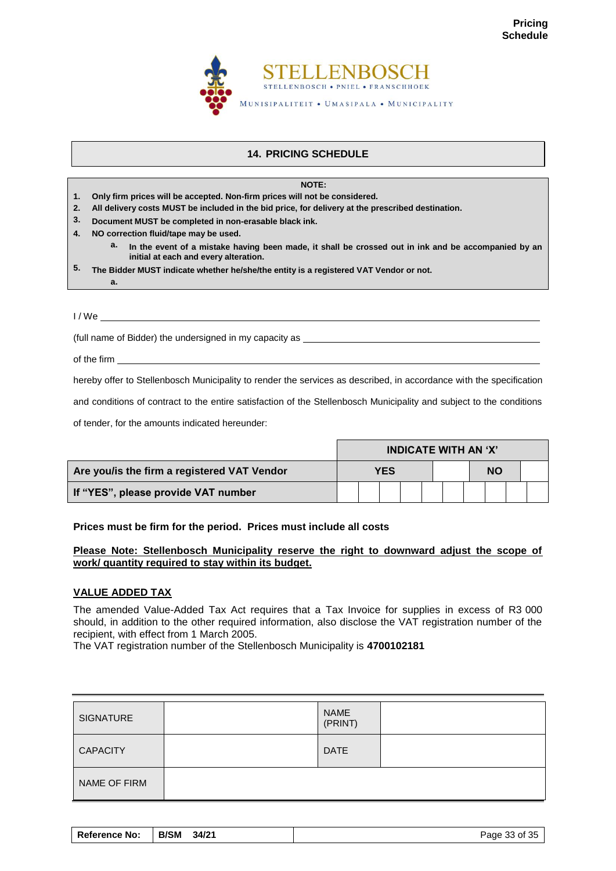

# **14. PRICING SCHEDULE**

<span id="page-34-0"></span>

|                  | NOTE:                                                                                                                                              |
|------------------|----------------------------------------------------------------------------------------------------------------------------------------------------|
| 1.               | Only firm prices will be accepted. Non-firm prices will not be considered.                                                                         |
| 2.               | All delivery costs MUST be included in the bid price, for delivery at the prescribed destination.                                                  |
| 3.               | Document MUST be completed in non-erasable black ink.                                                                                              |
| 4.               | NO correction fluid/tape may be used.                                                                                                              |
|                  | а.<br>In the event of a mistake having been made, it shall be crossed out in ink and be accompanied by an<br>initial at each and every alteration. |
| 5.               | The Bidder MUST indicate whether he/she/the entity is a registered VAT Vendor or not.                                                              |
|                  | а.                                                                                                                                                 |
|                  |                                                                                                                                                    |
| 1/W <sub>e</sub> |                                                                                                                                                    |

(full name of Bidder) the undersigned in my capacity as

of the firm

hereby offer to Stellenbosch Municipality to render the services as described, in accordance with the specification

and conditions of contract to the entire satisfaction of the Stellenbosch Municipality and subject to the conditions

of tender, for the amounts indicated hereunder:

|                                             | <b>INDICATE WITH AN 'X'</b> |  |  |  |  |           |  |  |  |
|---------------------------------------------|-----------------------------|--|--|--|--|-----------|--|--|--|
| Are you/is the firm a registered VAT Vendor | YES                         |  |  |  |  | <b>NO</b> |  |  |  |
| If "YES", please provide VAT number         |                             |  |  |  |  |           |  |  |  |

# **Prices must be firm for the period. Prices must include all costs**

# **Please Note: Stellenbosch Municipality reserve the right to downward adjust the scope of work/ quantity required to stay within its budget.**

# **VALUE ADDED TAX**

The amended Value-Added Tax Act requires that a Tax Invoice for supplies in excess of R3 000 should, in addition to the other required information, also disclose the VAT registration number of the recipient, with effect from 1 March 2005.

The VAT registration number of the Stellenbosch Municipality is **4700102181**

| <b>SIGNATURE</b> | <b>NAME</b><br>(PRINT) |  |
|------------------|------------------------|--|
| <b>CAPACITY</b>  | <b>DATE</b>            |  |
| NAME OF FIRM     |                        |  |

| <b>B/SM</b><br><b>Reference No:</b><br>34/21 | Page 33 of 35 |
|----------------------------------------------|---------------|
|----------------------------------------------|---------------|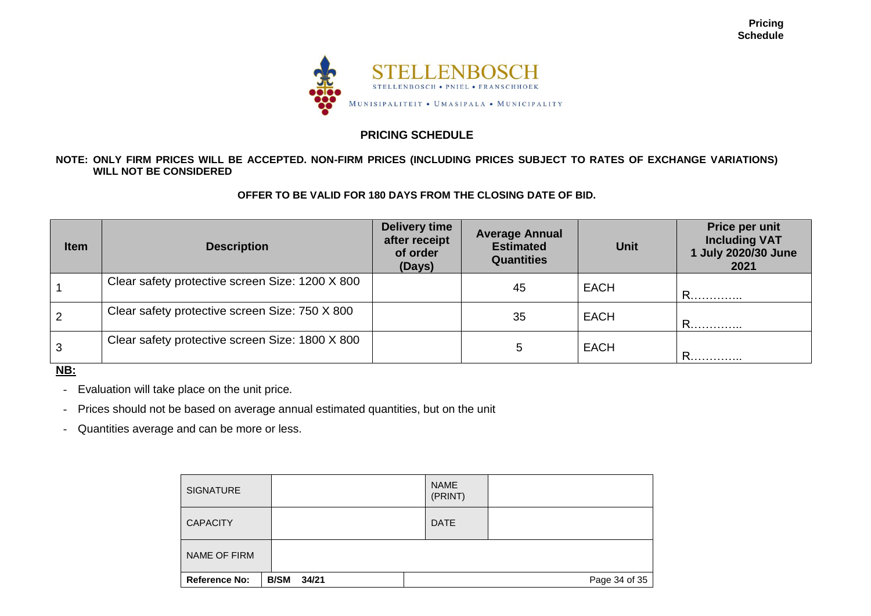

# **PRICING SCHEDULE**

# **NOTE: ONLY FIRM PRICES WILL BE ACCEPTED. NON-FIRM PRICES (INCLUDING PRICES SUBJECT TO RATES OF EXCHANGE VARIATIONS) WILL NOT BE CONSIDERED**

# **OFFER TO BE VALID FOR 180 DAYS FROM THE CLOSING DATE OF BID.**

| Item           | <b>Description</b>                              | Delivery time<br>after receipt<br>of order<br>(Days) | <b>Average Annual</b><br><b>Estimated</b><br><b>Quantities</b> | <b>Unit</b> | Price per unit<br><b>Including VAT</b><br>1 July 2020/30 June<br>2021 |
|----------------|-------------------------------------------------|------------------------------------------------------|----------------------------------------------------------------|-------------|-----------------------------------------------------------------------|
|                | Clear safety protective screen Size: 1200 X 800 |                                                      | 45                                                             | <b>EACH</b> | . R.                                                                  |
| $\overline{2}$ | Clear safety protective screen Size: 750 X 800  |                                                      | 35                                                             | <b>EACH</b> | R                                                                     |
| $\mathbf{3}$   | Clear safety protective screen Size: 1800 X 800 |                                                      | 5                                                              | <b>EACH</b> | R                                                                     |

**NB:**

- Evaluation will take place on the unit price.

- Prices should not be based on average annual estimated quantities, but on the unit

- Quantities average and can be more or less.

| <b>SIGNATURE</b>     |                      | <b>NAME</b><br>(PRINT) |               |
|----------------------|----------------------|------------------------|---------------|
| <b>CAPACITY</b>      |                      | <b>DATE</b>            |               |
| NAME OF FIRM         |                      |                        |               |
| <b>Reference No:</b> | <b>B/SM</b><br>34/21 |                        | Page 34 of 35 |